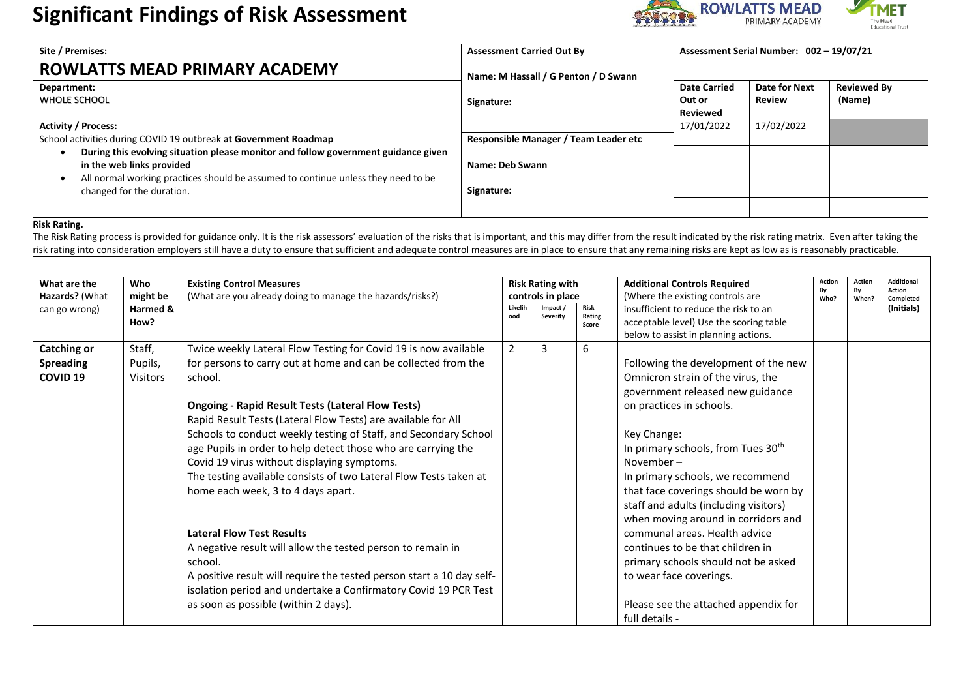# **Significant Findings of Risk Assessment** Significant Primary Academy



| Site / Premises:                                                                   | <b>Assessment Carried Out By</b>      | Assessment Serial Number: 002 - 19/07/21 |                      |                    |
|------------------------------------------------------------------------------------|---------------------------------------|------------------------------------------|----------------------|--------------------|
| ROWLATTS MEAD PRIMARY ACADEMY                                                      | Name: M Hassall / G Penton / D Swann  |                                          |                      |                    |
| Department:                                                                        |                                       | <b>Date Carried</b>                      | <b>Date for Next</b> | <b>Reviewed By</b> |
| <b>WHOLE SCHOOL</b>                                                                | Signature:                            | Out or                                   | <b>Review</b>        | (Name)             |
|                                                                                    |                                       | <b>Reviewed</b>                          |                      |                    |
| <b>Activity / Process:</b>                                                         |                                       | 17/01/2022                               | 17/02/2022           |                    |
| School activities during COVID 19 outbreak at Government Roadmap                   | Responsible Manager / Team Leader etc |                                          |                      |                    |
| During this evolving situation please monitor and follow government guidance given |                                       |                                          |                      |                    |
| in the web links provided                                                          | Name: Deb Swann                       |                                          |                      |                    |
| All normal working practices should be assumed to continue unless they need to be  |                                       |                                          |                      |                    |
| changed for the duration.                                                          | Signature:                            |                                          |                      |                    |
|                                                                                    |                                       |                                          |                      |                    |
|                                                                                    |                                       |                                          |                      |                    |

#### **Risk Rating.**

The Risk Rating process is provided for guidance only. It is the risk assessors' evaluation of the risks that is important, and this may differ from the result indicated by the risk rating matrix. Even after taking the risk rating into consideration employers still have a duty to ensure that sufficient and adequate control measures are in place to ensure that any remaining risks are kept as low as is reasonably practicable.

|                  |                 |                                                                       |                |                         |                |                                                | Action | Action | <b>Additional</b> |
|------------------|-----------------|-----------------------------------------------------------------------|----------------|-------------------------|----------------|------------------------------------------------|--------|--------|-------------------|
| What are the     | Who             | <b>Existing Control Measures</b>                                      |                | <b>Risk Rating with</b> |                | <b>Additional Controls Required</b>            | By     | By     | <b>Action</b>     |
| Hazards? (What   | might be        | (What are you already doing to manage the hazards/risks?)             |                | controls in place       |                | (Where the existing controls are               | Who?   | When?  | Completed         |
| can go wrong)    | Harmed &        |                                                                       | Likelih<br>ood | Impact<br>Severity      | Risk<br>Rating | insufficient to reduce the risk to an          |        |        | (Initials)        |
|                  | How?            |                                                                       |                |                         | Score          | acceptable level) Use the scoring table        |        |        |                   |
|                  |                 |                                                                       |                |                         |                | below to assist in planning actions.           |        |        |                   |
| Catching or      | Staff,          | Twice weekly Lateral Flow Testing for Covid 19 is now available       | 2              | 3                       | 6              |                                                |        |        |                   |
| <b>Spreading</b> | Pupils,         | for persons to carry out at home and can be collected from the        |                |                         |                | Following the development of the new           |        |        |                   |
| <b>COVID 19</b>  | <b>Visitors</b> | school.                                                               |                |                         |                | Omnicron strain of the virus, the              |        |        |                   |
|                  |                 |                                                                       |                |                         |                | government released new guidance               |        |        |                   |
|                  |                 | <b>Ongoing - Rapid Result Tests (Lateral Flow Tests)</b>              |                |                         |                | on practices in schools.                       |        |        |                   |
|                  |                 | Rapid Result Tests (Lateral Flow Tests) are available for All         |                |                         |                |                                                |        |        |                   |
|                  |                 | Schools to conduct weekly testing of Staff, and Secondary School      |                |                         |                | Key Change:                                    |        |        |                   |
|                  |                 | age Pupils in order to help detect those who are carrying the         |                |                         |                | In primary schools, from Tues 30 <sup>th</sup> |        |        |                   |
|                  |                 | Covid 19 virus without displaying symptoms.                           |                |                         |                | November-                                      |        |        |                   |
|                  |                 | The testing available consists of two Lateral Flow Tests taken at     |                |                         |                | In primary schools, we recommend               |        |        |                   |
|                  |                 | home each week, 3 to 4 days apart.                                    |                |                         |                | that face coverings should be worn by          |        |        |                   |
|                  |                 |                                                                       |                |                         |                | staff and adults (including visitors)          |        |        |                   |
|                  |                 |                                                                       |                |                         |                | when moving around in corridors and            |        |        |                   |
|                  |                 | <b>Lateral Flow Test Results</b>                                      |                |                         |                | communal areas. Health advice                  |        |        |                   |
|                  |                 | A negative result will allow the tested person to remain in           |                |                         |                | continues to be that children in               |        |        |                   |
|                  |                 | school.                                                               |                |                         |                | primary schools should not be asked            |        |        |                   |
|                  |                 | A positive result will require the tested person start a 10 day self- |                |                         |                | to wear face coverings.                        |        |        |                   |
|                  |                 | isolation period and undertake a Confirmatory Covid 19 PCR Test       |                |                         |                |                                                |        |        |                   |
|                  |                 | as soon as possible (within 2 days).                                  |                |                         |                | Please see the attached appendix for           |        |        |                   |
|                  |                 |                                                                       |                |                         |                | full details -                                 |        |        |                   |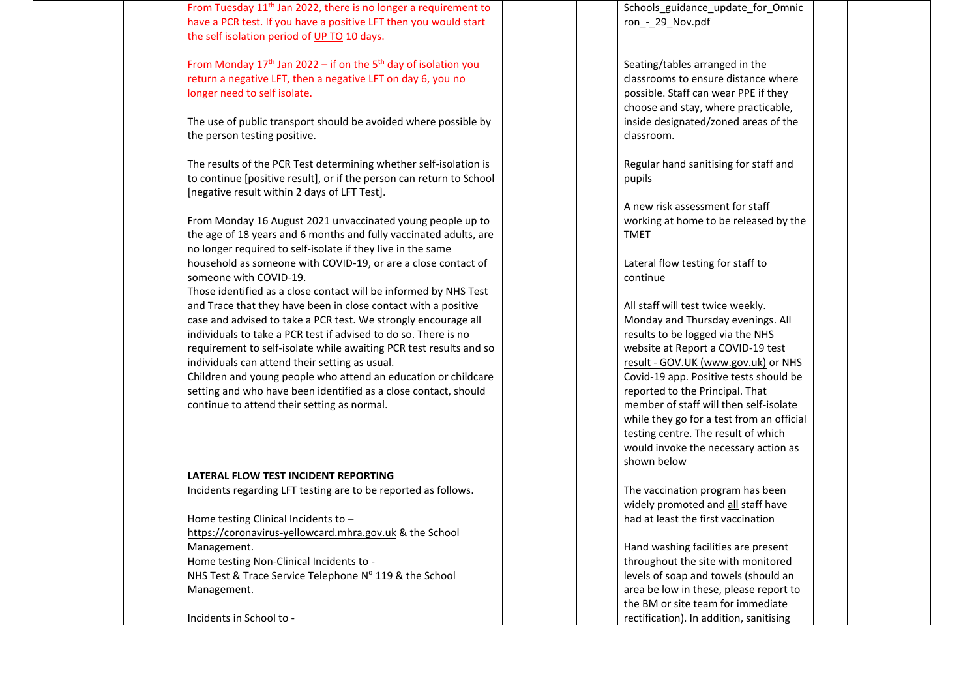From Tuesday 11th Jan 2022, there is no longer a requirement to have a PCR test. If you have a positive LFT then you would start the self isolation period of UP TO 10 days.

From Monday  $17<sup>th</sup>$  Jan 2022 – if on the 5<sup>th</sup> day of isolation you return a negative LFT, then a negative LFT on day 6, you no longer need to self isolate.

The use of public transport should be avoided where possible by the person testing positive.

The results of the PCR Test determining whether self-isolation is to continue [positive result], or if the person can return to School [negative result within 2 days of LFT Test].

From Monday 16 August 2021 unvaccinated young people up to the age of 18 years and 6 months and fully vaccinated adults, are no longer required to self-isolate if they live in the same household as someone with COVID-19, or are a close contact of someone with COVID-19.

Those identified as a close contact will be informed by NHS Test and Trace that they have been in close contact with a positive case and advised to take a PCR test. We strongly encourage all individuals to take a PCR test if advised to do so. There is no requirement to self-isolate while awaiting PCR test results and so individuals can attend their setting as usual.

Children and young people who attend an education or childcare setting and who have been identified as a close contact, should continue to attend their setting as normal.

#### **LATERAL FLOW TEST INCIDENT REPORTING**

Incidents regarding LFT testing are to be reported as follows.

Home testing Clinical Incidents to –

[https://coronavirus-yellowcard.mhra.gov.uk](https://coronavirus-yellowcard.mhra.gov.uk/) & the School Management.

Home testing Non-Clinical Incidents to -

NHS Test & Trace Service Telephone Nº 119 & the School Management.

Incidents in School to -

Schools\_guidance\_update\_for\_Omnic ron\_-\_29\_Nov.pdf

Seating/tables arranged in the classrooms to ensure distance where possible. Staff can wear PPE if they choose and stay, where practicable, inside designated/zoned areas of the classroom.

Regular hand sanitising for staff and pupils

A new risk assessment for staff working at home to be released by the TMET

Lateral flow testing for staff to continue

All staff will test twice weekly. Monday and Thursday evenings. All results to be logged via the NHS website a[t Report a COVID-19 test](https://www.gov.uk/report-covid19-result)  result - [GOV.UK \(www.gov.uk\)](https://www.gov.uk/report-covid19-result) or NHS Covid-19 app. Positive tests should be reported to the Principal. That member of staff will then self-isolate while they go for a test from an official testing centre. The result of which would invoke the necessary action as shown below

The vaccination program has been widely promoted and all staff have had at least the first vaccination

Hand washing facilities are present throughout the site with monitored levels of soap and towels (should an area be low in these, please report to the BM or site team for immediate rectification). In addition, sanitising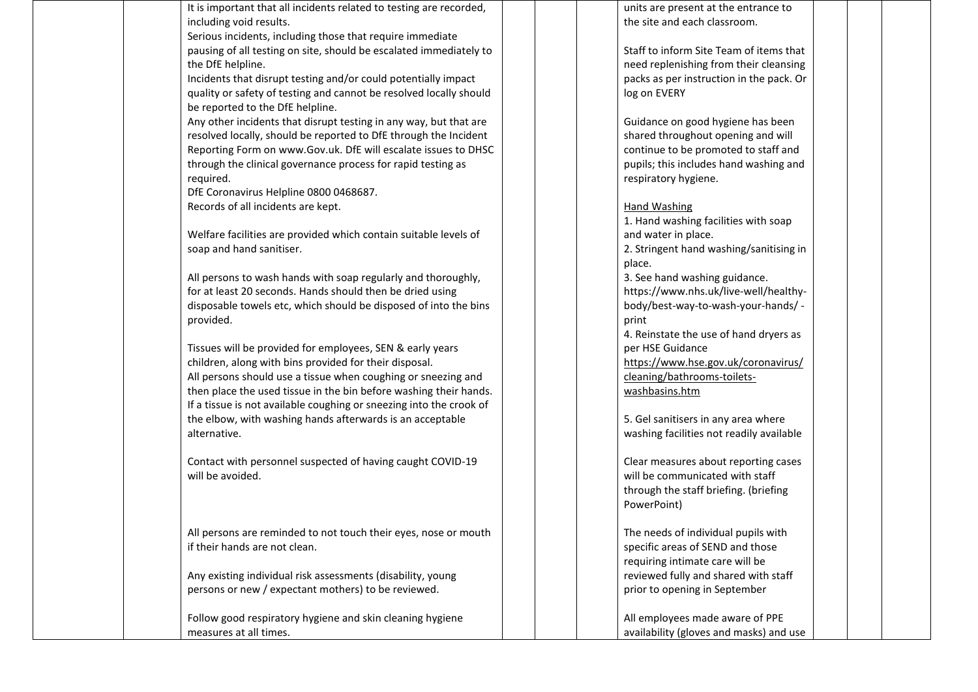It is important that all incidents related to testing are recorded, including void results.

Serious incidents, including those that require immediate pausing of all testing on site, should be escalated immediately to the DfE helpline.

Incidents that disrupt testing and/or could potentially impact quality or safety of testing and cannot be resolved locally should be reported to the DfE helpline.

Any other incidents that disrupt testing in any way, but that are resolved locally, should be reported to DfE through the Incident Reporting Form on www.Gov.uk. DfE will escalate issues to DHSC through the clinical governance process for rapid testing as required.

DfE Coronavirus Helpline 0800 0468687. Records of all incidents are kept.

Welfare facilities are provided which contain suitable levels of soap and hand sanitiser.

All persons to wash hands with soap regularly and thoroughly, for at least 20 seconds. Hands should then be dried using disposable towels etc, which should be disposed of into the bins provided.

Tissues will be provided for employees, SEN & early years children, along with bins provided for their disposal. All persons should use a tissue when coughing or sneezing and then place the used tissue in the bin before washing their hands. If a tissue is not available coughing or sneezing into the crook of the elbow, with washing hands afterwards is an acceptable alternative.

Contact with personnel suspected of having caught COVID-19 will be avoided.

All persons are reminded to not touch their eyes, nose or mouth if their hands are not clean.

Any existing individual risk assessments (disability, young persons or new / expectant mothers) to be reviewed.

Follow good respiratory hygiene and skin cleaning hygiene measures at all times.

units are present at the entrance to the site and each classroom.

Staff to inform Site Team of items that need replenishing from their cleansing packs as per instruction in the pack. Or log on EVERY

Guidance on good hygiene has been shared throughout opening and will continue to be promoted to staff and pupils; this includes hand washing and respiratory hygiene.

#### Hand Washing

1. Hand washing facilities with soap and water in place. 2. Stringent hand washing/sanitising in

place.

3. See hand washing guidance. https://www.nhs.uk/live-well/healthybody/best-way-to-wash-your-hands/ print

4. Reinstate the use of hand dryers as per HSE Guidance [https://www.hse.gov.uk/coronavirus/](https://www.hse.gov.uk/coronavirus/cleaning/bathrooms-toilets-washbasins.htm)

[cleaning/bathrooms-toilets](https://www.hse.gov.uk/coronavirus/cleaning/bathrooms-toilets-washbasins.htm)[washbasins.htm](https://www.hse.gov.uk/coronavirus/cleaning/bathrooms-toilets-washbasins.htm)

5. Gel sanitisers in any area where washing facilities not readily available

Clear measures about reporting cases will be communicated with staff through the staff briefing. (briefing PowerPoint)

The needs of individual pupils with specific areas of SEND and those requiring intimate care will be reviewed fully and shared with staff prior to opening in September

All employees made aware of PPE availability (gloves and masks) and use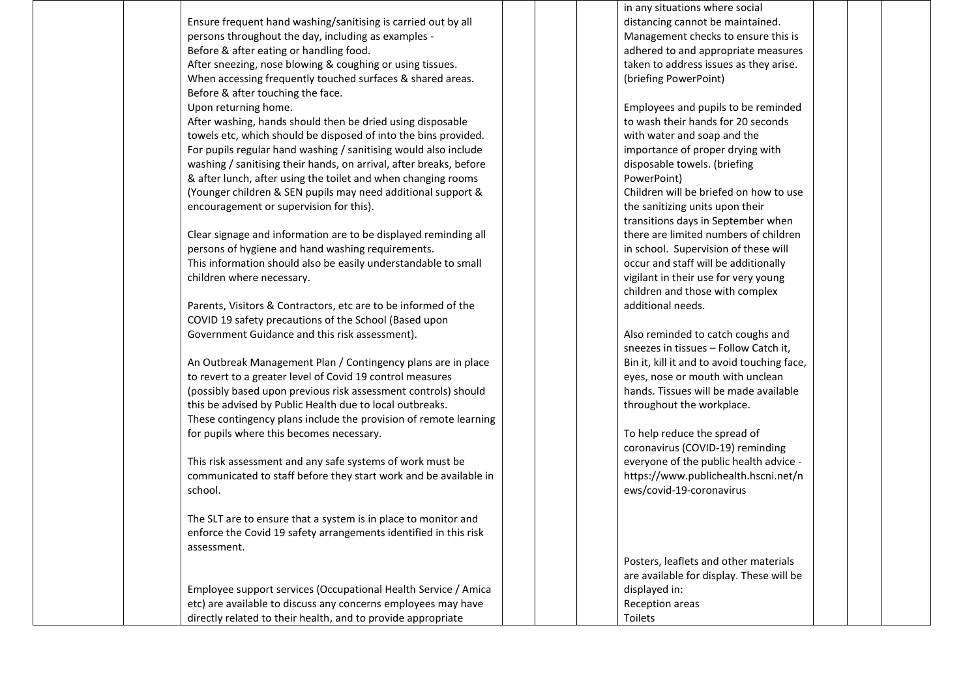Ensure frequent hand washing/sanitising is carried out by all persons throughout the day, including as examples - Before & after eating or handling food.

After sneezing, nose blowing & coughing or using tissues. When accessing frequently touched surfaces & shared areas. Before & after touching the face.

Upon returning home.

After washing, hands should then be dried using disposable towels etc, which should be disposed of into the bins provided. For pupils regular hand washing / sanitising would also include washing / sanitising their hands, on arrival, after breaks, before & after lunch, after using the toilet and when changing rooms (Younger children & SEN pupils may need additional support & encouragement or supervision for this).

Clear signage and information are to be displayed reminding all persons of hygiene and hand washing requirements. This information should also be easily understandable to small children where necessary.

Parents, Visitors & Contractors, etc are to be informed of the COVID 19 safety precautions of the School (Based upon Government Guidance and this risk assessment).

An Outbreak Management Plan / Contingency plans are in place to revert to a greater level of Covid 19 control measures (possibly based upon previous risk assessment controls) should this be advised by Public Health due to local outbreaks. These contingency plans include the provision of remote learning for pupils where this becomes necessary.

This risk assessment and any safe systems of work must be communicated to staff before they start work and be available in school.

The SLT are to ensure that a system is in place to monitor and enforce the Covid 19 safety arrangements identified in this risk assessment.

Employee support services (Occupational Health Service / Amica etc) are available to discuss any concerns employees may have directly related to their health, and to provide appropriate

in any situations where social distancing cannot be maintained. Management checks to ensure this is adhered to and appropriate measures taken to address issues as they arise. (briefing PowerPoint)

Employees and pupils to be reminded to wash their hands for 20 seconds with water and soap and the importance of proper drying with disposable towels. (briefing PowerPoint) Children will be briefed on how to use the sanitizing units upon their transitions days in September when there are limited numbers of children in school. Supervision of these will occur and staff will be additionally vigilant in their use for very young children and those with complex additional needs.

Also reminded to catch coughs and sneezes in tissues – Follow Catch it, Bin it, kill it and to avoid touching face, eyes, nose or mouth with unclean hands. Tissues will be made available throughout the workplace.

To help reduce the spread of coronavirus (COVID-19) reminding everyone of the public health advice [https://www.publichealth.hscni.net/n](https://www.publichealth.hscni.net/news/covid-19-coronavirus) [ews/covid-19-coronavirus](https://www.publichealth.hscni.net/news/covid-19-coronavirus)

Posters, leaflets and other materials are available for display. These will be displayed in: Reception areas Toilets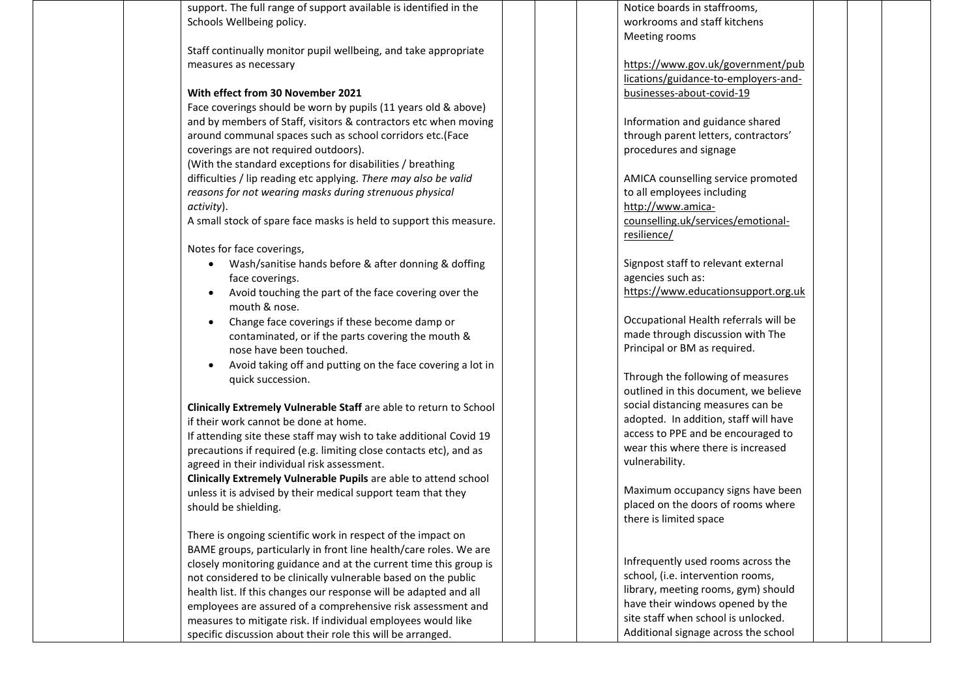support. The full range of support available is identified in the Schools Wellbeing policy.

Staff continually monitor pupil wellbeing, and take appropriate measures as necessary

### **With effect from 30 November 2021**

Face coverings should be worn by pupils (11 years old & above) and by members of Staff, visitors & contractors etc when moving around communal spaces such as school corridors etc.(Face coverings are not required outdoors).

(With the standard exceptions for disabilities / breathing difficulties / lip reading etc applying. *There may also be valid reasons for not wearing masks during strenuous physical activity*).

A small stock of spare face masks is held to support this measure.

Notes for face coverings,

- Wash/sanitise hands before & after donning & doffing face coverings.
- Avoid touching the part of the face covering over the mouth & nose.
- Change face coverings if these become damp or contaminated, or if the parts covering the mouth & nose have been touched.
- Avoid taking off and putting on the face covering a lot in quick succession.

**Clinically Extremely Vulnerable Staff** are able to return to School if their work cannot be done at home.

If attending site these staff may wish to take additional Covid 19 precautions if required (e.g. limiting close contacts etc), and as agreed in their individual risk assessment.

**Clinically Extremely Vulnerable Pupils** are able to attend school unless it is advised by their medical support team that they should be shielding.

There is ongoing scientific work in respect of the impact on BAME groups, particularly in front line health/care roles. We are closely monitoring guidance and at the current time this group is not considered to be clinically vulnerable based on the public health list. If this changes our response will be adapted and all employees are assured of a comprehensive risk assessment and measures to mitigate risk. If individual employees would like specific discussion about their role this will be arranged.

Notice boards in staffrooms, workrooms and staff kitchens Meeting rooms

[https://www.gov.uk/government/pub](https://www.gov.uk/government/publications/guidance-to-employers-and-businesses-about-covid-19) [lications/guidance-to-employers-and](https://www.gov.uk/government/publications/guidance-to-employers-and-businesses-about-covid-19)[businesses-about-covid-19](https://www.gov.uk/government/publications/guidance-to-employers-and-businesses-about-covid-19)

Information and guidance shared through parent letters, contractors' procedures and signage

AMICA counselling service promoted to all employees including [http://www.amica](http://www.amica-counselling.uk/services/emotional-resilience/)[counselling.uk/services/emotional](http://www.amica-counselling.uk/services/emotional-resilience/)[resilience/](http://www.amica-counselling.uk/services/emotional-resilience/)

Signpost staff to relevant external agencies such as: https://www.educationsupport.org.uk

Occupational Health referrals will be made through discussion with The Principal or BM as required.

Through the following of measures outlined in this document, we believe social distancing measures can be adopted. In addition, staff will have access to PPE and be encouraged to wear this where there is increased vulnerability.

Maximum occupancy signs have been placed on the doors of rooms where there is limited space

Infrequently used rooms across the school, (i.e. intervention rooms, library, meeting rooms, gym) should have their windows opened by the site staff when school is unlocked. Additional signage across the school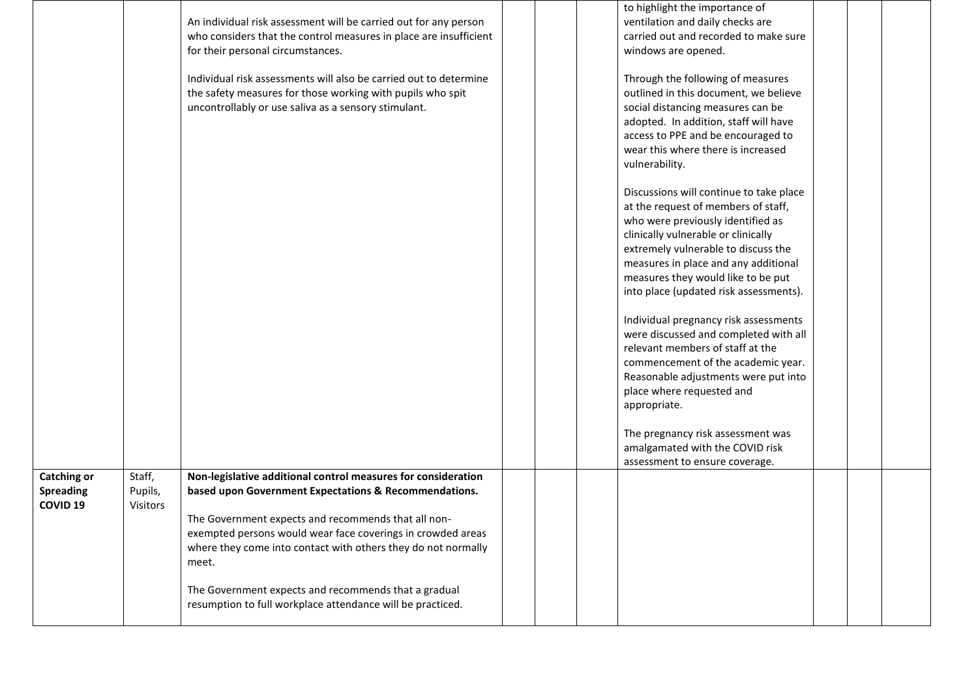|                                                               |                               | An individual risk assessment will be carried out for any person<br>who considers that the control measures in place are insufficient<br>for their personal circumstances.                                                                                                                                             |  | to highlight the importance of<br>ventilation and daily checks are<br>carried out and recorded to make sure<br>windows are opened.                                                                                                                                                                                        |  |
|---------------------------------------------------------------|-------------------------------|------------------------------------------------------------------------------------------------------------------------------------------------------------------------------------------------------------------------------------------------------------------------------------------------------------------------|--|---------------------------------------------------------------------------------------------------------------------------------------------------------------------------------------------------------------------------------------------------------------------------------------------------------------------------|--|
|                                                               |                               | Individual risk assessments will also be carried out to determine<br>the safety measures for those working with pupils who spit<br>uncontrollably or use saliva as a sensory stimulant.                                                                                                                                |  | Through the following of measures<br>outlined in this document, we believe<br>social distancing measures can be<br>adopted. In addition, staff will have<br>access to PPE and be encouraged to<br>wear this where there is increased<br>vulnerability.                                                                    |  |
|                                                               |                               |                                                                                                                                                                                                                                                                                                                        |  | Discussions will continue to take place<br>at the request of members of staff,<br>who were previously identified as<br>clinically vulnerable or clinically<br>extremely vulnerable to discuss the<br>measures in place and any additional<br>measures they would like to be put<br>into place (updated risk assessments). |  |
|                                                               |                               |                                                                                                                                                                                                                                                                                                                        |  | Individual pregnancy risk assessments<br>were discussed and completed with all<br>relevant members of staff at the<br>commencement of the academic year.<br>Reasonable adjustments were put into<br>place where requested and<br>appropriate.                                                                             |  |
|                                                               |                               |                                                                                                                                                                                                                                                                                                                        |  | The pregnancy risk assessment was<br>amalgamated with the COVID risk<br>assessment to ensure coverage.                                                                                                                                                                                                                    |  |
| <b>Catching or</b><br><b>Spreading</b><br>COVID <sub>19</sub> | Staff,<br>Pupils,<br>Visitors | Non-legislative additional control measures for consideration<br>based upon Government Expectations & Recommendations.<br>The Government expects and recommends that all non-<br>exempted persons would wear face coverings in crowded areas<br>where they come into contact with others they do not normally<br>meet. |  |                                                                                                                                                                                                                                                                                                                           |  |
|                                                               |                               | The Government expects and recommends that a gradual<br>resumption to full workplace attendance will be practiced.                                                                                                                                                                                                     |  |                                                                                                                                                                                                                                                                                                                           |  |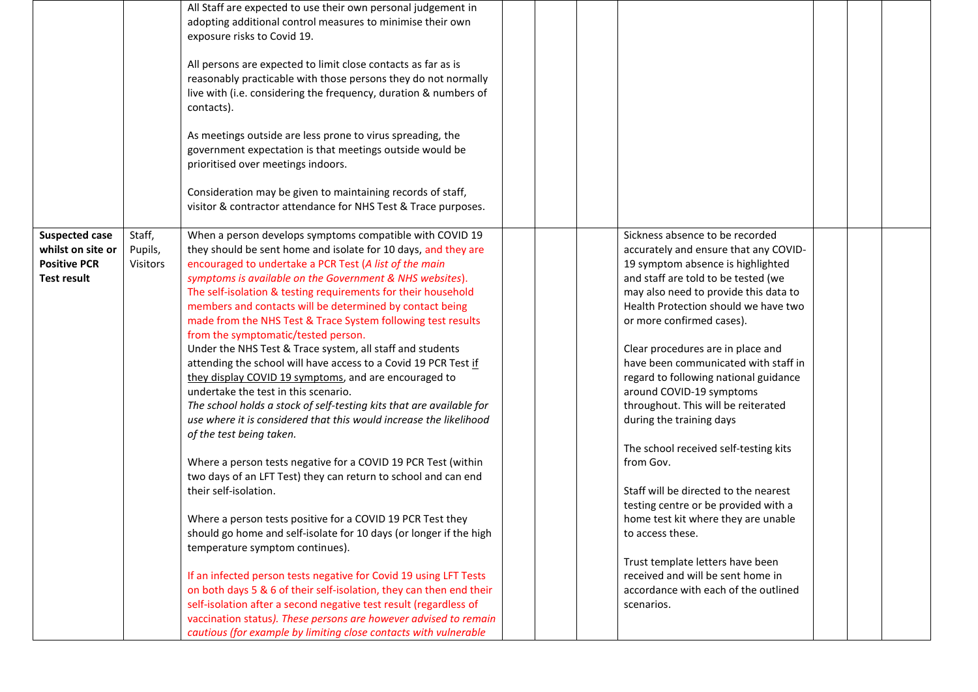|                                            |                     | All Staff are expected to use their own personal judgement in<br>adopting additional control measures to minimise their own<br>exposure risks to Covid 19.<br>All persons are expected to limit close contacts as far as is<br>reasonably practicable with those persons they do not normally<br>live with (i.e. considering the frequency, duration & numbers of<br>contacts).<br>As meetings outside are less prone to virus spreading, the<br>government expectation is that meetings outside would be<br>prioritised over meetings indoors.<br>Consideration may be given to maintaining records of staff,<br>visitor & contractor attendance for NHS Test & Trace purposes. |                                                                          |  |  |
|--------------------------------------------|---------------------|----------------------------------------------------------------------------------------------------------------------------------------------------------------------------------------------------------------------------------------------------------------------------------------------------------------------------------------------------------------------------------------------------------------------------------------------------------------------------------------------------------------------------------------------------------------------------------------------------------------------------------------------------------------------------------|--------------------------------------------------------------------------|--|--|
| <b>Suspected case</b><br>whilst on site or | Staff,              | When a person develops symptoms compatible with COVID 19<br>they should be sent home and isolate for 10 days, and they are                                                                                                                                                                                                                                                                                                                                                                                                                                                                                                                                                       | Sickness absence to be recorded<br>accurately and ensure that any COVID- |  |  |
| <b>Positive PCR</b>                        | Pupils,<br>Visitors | encouraged to undertake a PCR Test (A list of the main                                                                                                                                                                                                                                                                                                                                                                                                                                                                                                                                                                                                                           | 19 symptom absence is highlighted                                        |  |  |
| <b>Test result</b>                         |                     | symptoms is available on the Government & NHS websites).                                                                                                                                                                                                                                                                                                                                                                                                                                                                                                                                                                                                                         | and staff are told to be tested (we                                      |  |  |
|                                            |                     | The self-isolation & testing requirements for their household                                                                                                                                                                                                                                                                                                                                                                                                                                                                                                                                                                                                                    | may also need to provide this data to                                    |  |  |
|                                            |                     | members and contacts will be determined by contact being                                                                                                                                                                                                                                                                                                                                                                                                                                                                                                                                                                                                                         | Health Protection should we have two                                     |  |  |
|                                            |                     | made from the NHS Test & Trace System following test results<br>from the symptomatic/tested person.                                                                                                                                                                                                                                                                                                                                                                                                                                                                                                                                                                              | or more confirmed cases).                                                |  |  |
|                                            |                     | Under the NHS Test & Trace system, all staff and students                                                                                                                                                                                                                                                                                                                                                                                                                                                                                                                                                                                                                        | Clear procedures are in place and                                        |  |  |
|                                            |                     | attending the school will have access to a Covid 19 PCR Test if                                                                                                                                                                                                                                                                                                                                                                                                                                                                                                                                                                                                                  | have been communicated with staff in                                     |  |  |
|                                            |                     | they display COVID 19 symptoms, and are encouraged to                                                                                                                                                                                                                                                                                                                                                                                                                                                                                                                                                                                                                            | regard to following national guidance                                    |  |  |
|                                            |                     | undertake the test in this scenario.                                                                                                                                                                                                                                                                                                                                                                                                                                                                                                                                                                                                                                             | around COVID-19 symptoms                                                 |  |  |
|                                            |                     | The school holds a stock of self-testing kits that are available for                                                                                                                                                                                                                                                                                                                                                                                                                                                                                                                                                                                                             | throughout. This will be reiterated                                      |  |  |
|                                            |                     | use where it is considered that this would increase the likelihood                                                                                                                                                                                                                                                                                                                                                                                                                                                                                                                                                                                                               | during the training days                                                 |  |  |
|                                            |                     | of the test being taken.                                                                                                                                                                                                                                                                                                                                                                                                                                                                                                                                                                                                                                                         |                                                                          |  |  |
|                                            |                     |                                                                                                                                                                                                                                                                                                                                                                                                                                                                                                                                                                                                                                                                                  | The school received self-testing kits                                    |  |  |
|                                            |                     | Where a person tests negative for a COVID 19 PCR Test (within<br>two days of an LFT Test) they can return to school and can end                                                                                                                                                                                                                                                                                                                                                                                                                                                                                                                                                  | from Gov.                                                                |  |  |
|                                            |                     | their self-isolation.                                                                                                                                                                                                                                                                                                                                                                                                                                                                                                                                                                                                                                                            | Staff will be directed to the nearest                                    |  |  |
|                                            |                     |                                                                                                                                                                                                                                                                                                                                                                                                                                                                                                                                                                                                                                                                                  | testing centre or be provided with a                                     |  |  |
|                                            |                     | Where a person tests positive for a COVID 19 PCR Test they                                                                                                                                                                                                                                                                                                                                                                                                                                                                                                                                                                                                                       | home test kit where they are unable                                      |  |  |
|                                            |                     | should go home and self-isolate for 10 days (or longer if the high                                                                                                                                                                                                                                                                                                                                                                                                                                                                                                                                                                                                               | to access these.                                                         |  |  |
|                                            |                     | temperature symptom continues).                                                                                                                                                                                                                                                                                                                                                                                                                                                                                                                                                                                                                                                  |                                                                          |  |  |
|                                            |                     |                                                                                                                                                                                                                                                                                                                                                                                                                                                                                                                                                                                                                                                                                  | Trust template letters have been                                         |  |  |
|                                            |                     | If an infected person tests negative for Covid 19 using LFT Tests                                                                                                                                                                                                                                                                                                                                                                                                                                                                                                                                                                                                                | received and will be sent home in                                        |  |  |
|                                            |                     | on both days 5 & 6 of their self-isolation, they can then end their                                                                                                                                                                                                                                                                                                                                                                                                                                                                                                                                                                                                              | accordance with each of the outlined                                     |  |  |
|                                            |                     | self-isolation after a second negative test result (regardless of                                                                                                                                                                                                                                                                                                                                                                                                                                                                                                                                                                                                                | scenarios.                                                               |  |  |
|                                            |                     | vaccination status). These persons are however advised to remain                                                                                                                                                                                                                                                                                                                                                                                                                                                                                                                                                                                                                 |                                                                          |  |  |
|                                            |                     | cautious (for example by limiting close contacts with vulnerable                                                                                                                                                                                                                                                                                                                                                                                                                                                                                                                                                                                                                 |                                                                          |  |  |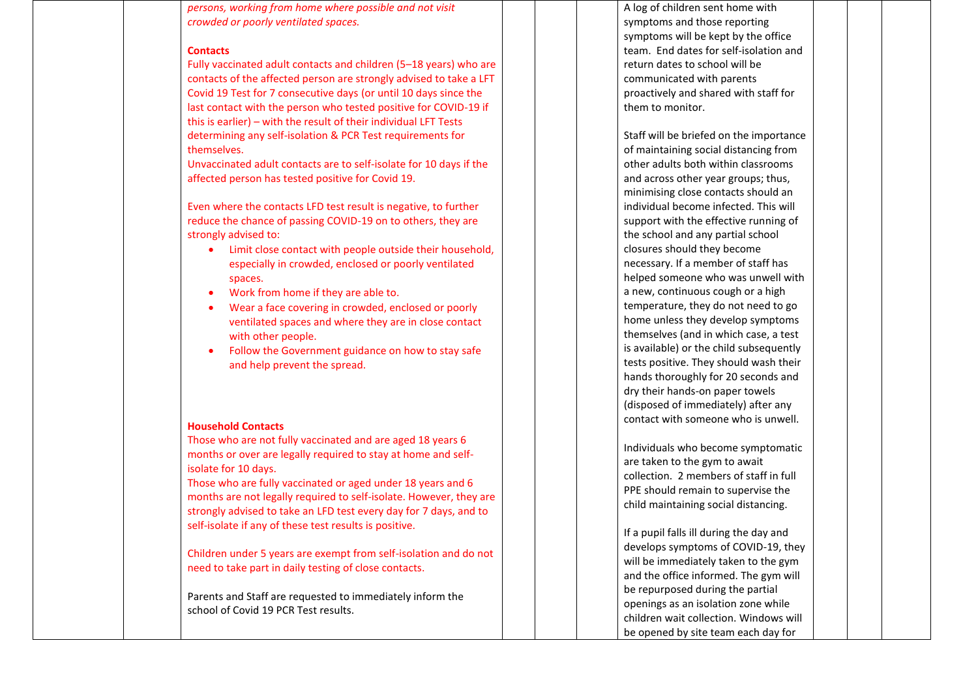*persons, working from home where possible and not visit crowded or poorly ventilated spaces.*

#### **Contacts**

Fully vaccinated adult contacts and children (5–18 years) who are contacts of the affected person are strongly advised to take a LFT Covid 19 Test for 7 consecutive days (or until 10 days since the last contact with the person who tested positive for COVID-19 if this is earlier) – with the result of their individual LFT Tests determining any self-isolation & PCR Test requirements for themselves.

Unvaccinated adult contacts are to self-isolate for 10 days if the affected person has tested positive for Covid 19.

Even where the contacts LFD test result is negative, to further reduce the chance of passing COVID-19 on to others, they are strongly advised to:

- Limit close contact with people outside their household, especially in crowded, enclosed or poorly ventilated spaces.
- Work from home if they are able to.
- Wear a face covering in crowded, enclosed or poorly ventilated spaces and where they are in close contact with other people.
- Follow the Government guidance on how to stay safe and help prevent the spread.

#### **Household Contacts**

Those who are not fully vaccinated and are aged 18 years 6 months or over are legally required to stay at home and selfisolate for 10 days.

Those who are fully vaccinated or aged under 18 years and 6 months are not legally required to self-isolate. However, they are strongly advised to take an LFD test every day for 7 days, and to self-isolate if any of these test results is positive.

Children under 5 years are exempt from self-isolation and do not need to take part in daily testing of close contacts.

Parents and Staff are requested to immediately inform the school of Covid 19 PCR Test results.

A log of children sent home with symptoms and those reporting symptoms will be kept by the office team. End dates for self-isolation and return dates to school will be communicated with parents proactively and shared with staff for them to monitor.

Staff will be briefed on the importance of maintaining social distancing from other adults both within classrooms and across other year groups; thus, minimising close contacts should an individual become infected. This will support with the effective running of the school and any partial school closures should they become necessary. If a member of staff has helped someone who was unwell with a new, continuous cough or a high temperature, they do not need to go home unless they develop symptoms themselves (and in which case, a test is available) or the child subsequently tests positive. They should wash their hands thoroughly for 20 seconds and dry their hands-on paper towels (disposed of immediately) after any contact with someone who is unwell.

Individuals who become symptomatic are taken to the gym to await collection. 2 members of staff in full PPE should remain to supervise the child maintaining social distancing.

If a pupil falls ill during the day and develops symptoms of COVID-19, they will be immediately taken to the gym and the office informed. The gym will be repurposed during the partial openings as an isolation zone while children wait collection. Windows will be opened by site team each day for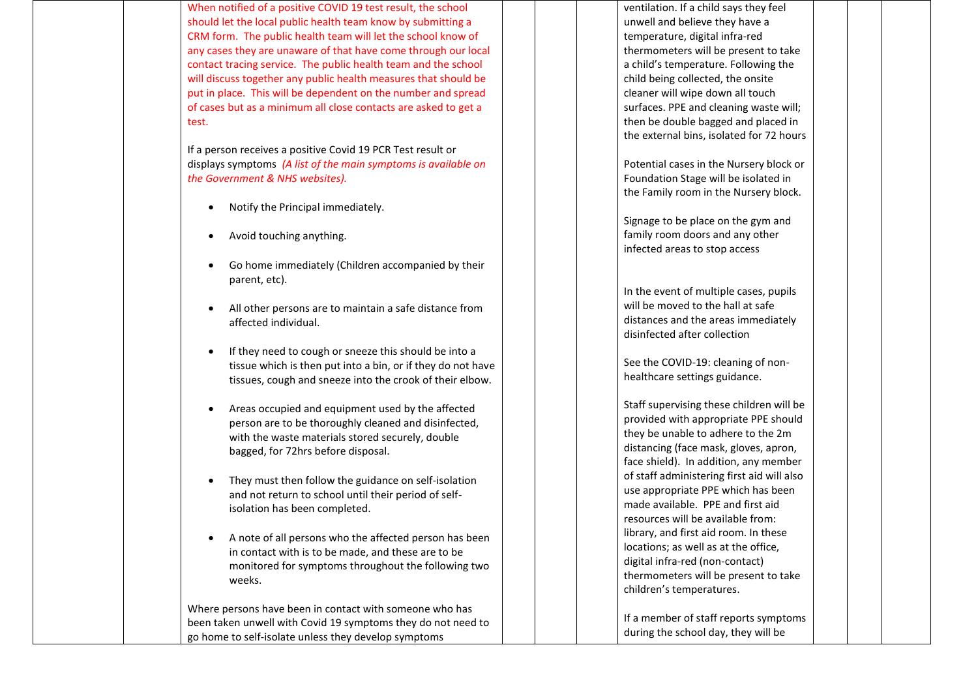When notified of a positive COVID 19 test result, the school should let the local public health team know by submitting a CRM form. The public health team will let the school know of any cases they are unaware of that have come through our local contact tracing service. The public health team and the school will discuss together any public health measures that should be put in place. This will be dependent on the number and spread of cases but as a minimum all close contacts are asked to get a test.

If a person receives a positive Covid 19 PCR Test result or displays symptoms *(A list of the main symptoms is available on the Government & NHS websites).*

- Notify the Principal immediately.
- Avoid touching anything.
- Go home immediately (Children accompanied by their parent, etc).
- All other persons are to maintain a safe distance from affected individual.
- If they need to cough or sneeze this should be into a tissue which is then put into a bin, or if they do not have tissues, cough and sneeze into the crook of their elbow.
- Areas occupied and equipment used by the affected person are to be thoroughly cleaned and disinfected, with the waste materials stored securely, double bagged, for 72hrs before disposal.
- They must then follow the guidance on self-isolation and not return to school until their period of selfisolation has been completed.
- A note of all persons who the affected person has been in contact with is to be made, and these are to be monitored for symptoms throughout the following two weeks.

Where persons have been in contact with someone who has been taken unwell with Covid 19 symptoms they do not need to go home to self-isolate unless they develop symptoms

ventilation. If a child says they feel unwell and believe they have a temperature, digital infra-red thermometers will be present to take a child's temperature. Following the child being collected, the onsite cleaner will wipe down all touch surfaces. PPE and cleaning waste will; then be double bagged and placed in the external bins, isolated for 72 hours

Potential cases in the Nursery block or Foundation Stage will be isolated in the Family room in the Nursery block.

Signage to be place on the gym and family room doors and any other infected areas to stop access

In the event of multiple cases, pupils will be moved to the hall at safe distances and the areas immediately disinfected after collection

See the COVID-19: cleaning of nonhealthcare settings guidance.

Staff supervising these children will be provided with appropriate PPE should they be unable to adhere to the 2m distancing (face mask, gloves, apron, face shield). In addition, any member of staff administering first aid will also use appropriate PPE which has been made available. PPE and first aid resources will be available from: library, and first aid room. In these locations; as well as at the office, digital infra-red (non-contact) thermometers will be present to take children's temperatures.

If a member of staff reports symptoms during the school day, they will be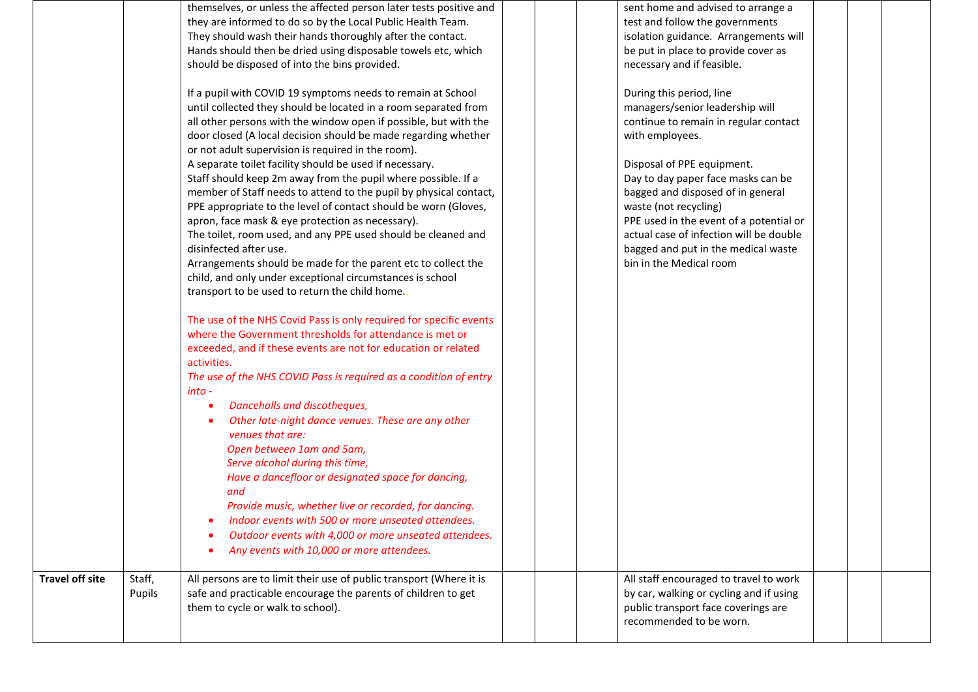| <b>Travel off site</b> | Staff,<br>Pupils | Outdoor events with 4,000 or more unseated attendees.<br>Any events with 10,000 or more attendees.<br>All persons are to limit their use of public transport (Where it is<br>safe and practicable encourage the parents of children to get<br>them to cycle or walk to school).                                                                                                                                                                                                                                                                                                                                                                                                                                                                                                                                                                                                                                                                                                                                                                                                                                                                                                                                                                                                                                                                                                                                                                                                                                                                                                                                                                                                                                                                                                                                                                                                                            |  | All staff encouraged to travel to work<br>by car, walking or cycling and if using<br>public transport face coverings are<br>recommended to be worn.                                                                                                                                                                                                                                                                                                                                                                                                                                                      |  |  |
|------------------------|------------------|------------------------------------------------------------------------------------------------------------------------------------------------------------------------------------------------------------------------------------------------------------------------------------------------------------------------------------------------------------------------------------------------------------------------------------------------------------------------------------------------------------------------------------------------------------------------------------------------------------------------------------------------------------------------------------------------------------------------------------------------------------------------------------------------------------------------------------------------------------------------------------------------------------------------------------------------------------------------------------------------------------------------------------------------------------------------------------------------------------------------------------------------------------------------------------------------------------------------------------------------------------------------------------------------------------------------------------------------------------------------------------------------------------------------------------------------------------------------------------------------------------------------------------------------------------------------------------------------------------------------------------------------------------------------------------------------------------------------------------------------------------------------------------------------------------------------------------------------------------------------------------------------------------|--|----------------------------------------------------------------------------------------------------------------------------------------------------------------------------------------------------------------------------------------------------------------------------------------------------------------------------------------------------------------------------------------------------------------------------------------------------------------------------------------------------------------------------------------------------------------------------------------------------------|--|--|
|                        |                  | themselves, or unless the affected person later tests positive and<br>they are informed to do so by the Local Public Health Team.<br>They should wash their hands thoroughly after the contact.<br>Hands should then be dried using disposable towels etc, which<br>should be disposed of into the bins provided.<br>If a pupil with COVID 19 symptoms needs to remain at School<br>until collected they should be located in a room separated from<br>all other persons with the window open if possible, but with the<br>door closed (A local decision should be made regarding whether<br>or not adult supervision is required in the room).<br>A separate toilet facility should be used if necessary.<br>Staff should keep 2m away from the pupil where possible. If a<br>member of Staff needs to attend to the pupil by physical contact,<br>PPE appropriate to the level of contact should be worn (Gloves,<br>apron, face mask & eye protection as necessary).<br>The toilet, room used, and any PPE used should be cleaned and<br>disinfected after use.<br>Arrangements should be made for the parent etc to collect the<br>child, and only under exceptional circumstances is school<br>transport to be used to return the child home.<br>The use of the NHS Covid Pass is only required for specific events<br>where the Government thresholds for attendance is met or<br>exceeded, and if these events are not for education or related<br>activities.<br>The use of the NHS COVID Pass is required as a condition of entry<br>into -<br>Dancehalls and discotheques,<br>Other late-night dance venues. These are any other<br>venues that are:<br>Open between 1am and 5am,<br>Serve alcohol during this time,<br>Have a dancefloor or designated space for dancing,<br>and<br>Provide music, whether live or recorded, for dancing.<br>Indoor events with 500 or more unseated attendees. |  | sent home and advised to arrange a<br>test and follow the governments<br>isolation guidance. Arrangements will<br>be put in place to provide cover as<br>necessary and if feasible.<br>During this period, line<br>managers/senior leadership will<br>continue to remain in regular contact<br>with employees.<br>Disposal of PPE equipment.<br>Day to day paper face masks can be<br>bagged and disposed of in general<br>waste (not recycling)<br>PPE used in the event of a potential or<br>actual case of infection will be double<br>bagged and put in the medical waste<br>bin in the Medical room |  |  |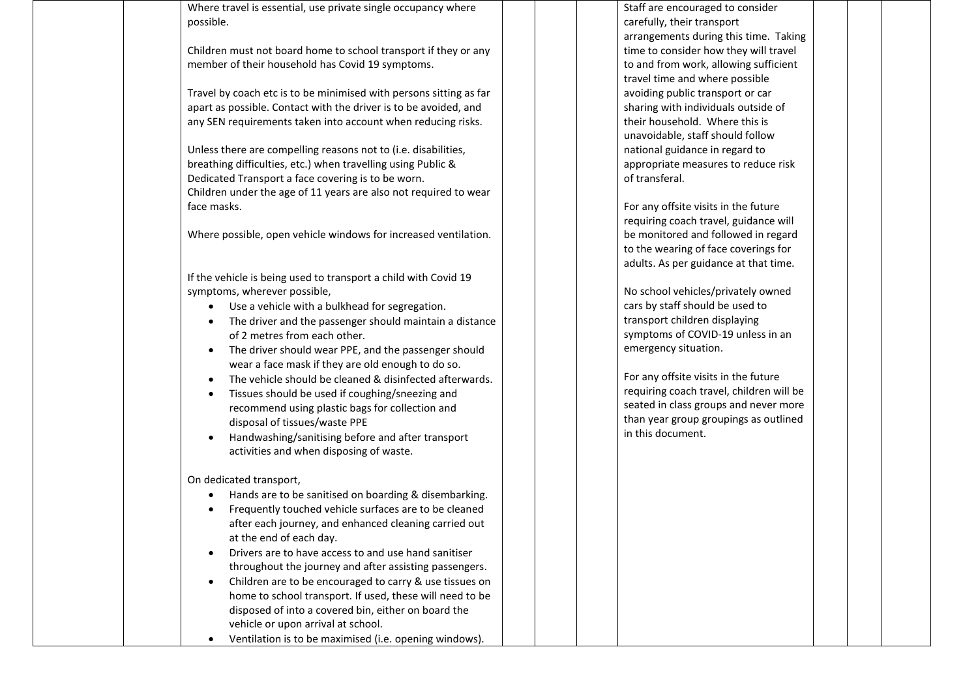Where travel is essential, use private single occupancy where possible.

Children must not board home to school transport if they or any member of their household has Covid 19 symptoms.

Travel by coach etc is to be minimised with persons sitting as far apart as possible. Contact with the driver is to be avoided, and any SEN requirements taken into account when reducing risks.

Unless there are compelling reasons not to (i.e. disabilities, breathing difficulties, etc.) when travelling using Public & Dedicated Transport a face covering is to be worn. Children under the age of 11 years are also not required to wear face masks.

Where possible, open vehicle windows for increased ventilation.

If the vehicle is being used to transport a child with Covid 19 symptoms, wherever possible,

- Use a vehicle with a bulkhead for segregation.
- The driver and the passenger should maintain a distance of 2 metres from each other.
- The driver should wear PPE, and the passenger should wear a face mask if they are old enough to do so.
- The vehicle should be cleaned & disinfected afterwards.
- Tissues should be used if coughing/sneezing and recommend using plastic bags for collection and disposal of tissues/waste PPE
- Handwashing/sanitising before and after transport activities and when disposing of waste.

On dedicated transport,

- Hands are to be sanitised on boarding & disembarking.
- Frequently touched vehicle surfaces are to be cleaned after each journey, and enhanced cleaning carried out at the end of each day.
- Drivers are to have access to and use hand sanitiser throughout the journey and after assisting passengers.
- Children are to be encouraged to carry & use tissues on home to school transport. If used, these will need to be disposed of into a covered bin, either on board the vehicle or upon arrival at school.

• Ventilation is to be maximised (i.e. opening windows).

Staff are encouraged to consider carefully, their transport arrangements during this time. Taking time to consider how they will travel to and from work, allowing sufficient travel time and where possible avoiding public transport or car sharing with individuals outside of their household. Where this is unavoidable, staff should follow national guidance in regard to appropriate measures to reduce risk of transferal.

For any offsite visits in the future requiring coach travel, guidance will be monitored and followed in regard to the wearing of face coverings for adults. As per guidance at that time.

No school vehicles/privately owned cars by staff should be used to transport children displaying symptoms of COVID-19 unless in an emergency situation.

For any offsite visits in the future requiring coach travel, children will be seated in class groups and never more than year group groupings as outlined in this document.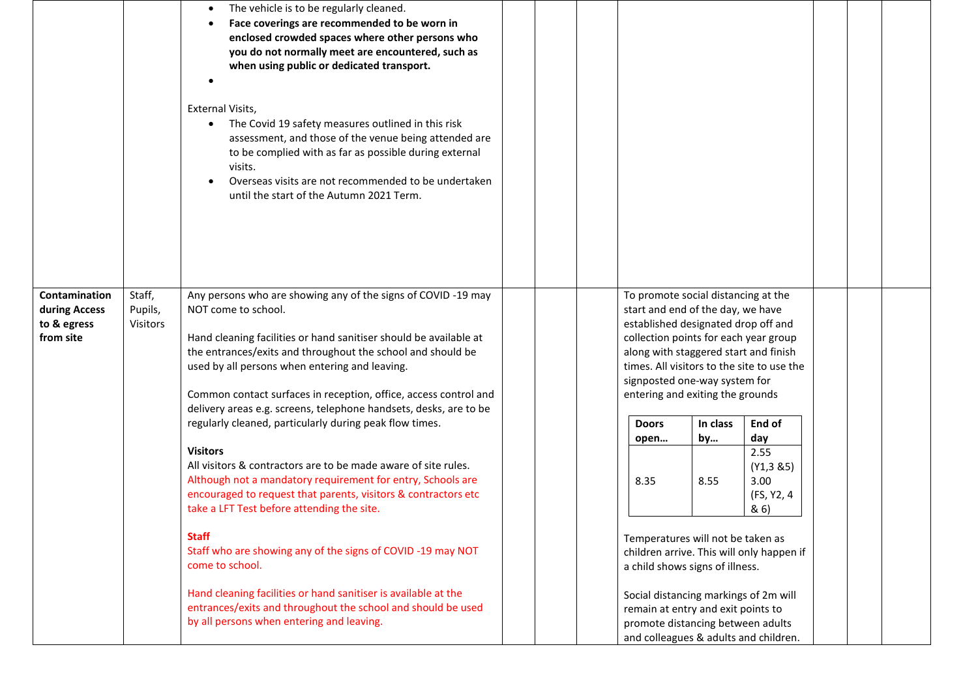|                                                            |                                      | The vehicle is to be regularly cleaned.<br>Face coverings are recommended to be worn in<br>enclosed crowded spaces where other persons who<br>you do not normally meet are encountered, such as<br>when using public or dedicated transport.<br>External Visits,<br>The Covid 19 safety measures outlined in this risk<br>$\bullet$<br>assessment, and those of the venue being attended are<br>to be complied with as far as possible during external<br>visits.<br>Overseas visits are not recommended to be undertaken<br>until the start of the Autumn 2021 Term. |                                                                                                                                                                                                                                                                                                                      |                                                                                                                                                           |            |                                                        |  |  |
|------------------------------------------------------------|--------------------------------------|-----------------------------------------------------------------------------------------------------------------------------------------------------------------------------------------------------------------------------------------------------------------------------------------------------------------------------------------------------------------------------------------------------------------------------------------------------------------------------------------------------------------------------------------------------------------------|----------------------------------------------------------------------------------------------------------------------------------------------------------------------------------------------------------------------------------------------------------------------------------------------------------------------|-----------------------------------------------------------------------------------------------------------------------------------------------------------|------------|--------------------------------------------------------|--|--|
| Contamination<br>during Access<br>to & egress<br>from site | Staff,<br>Pupils,<br><b>Visitors</b> | Any persons who are showing any of the signs of COVID -19 may<br>NOT come to school.<br>Hand cleaning facilities or hand sanitiser should be available at<br>the entrances/exits and throughout the school and should be<br>used by all persons when entering and leaving.<br>Common contact surfaces in reception, office, access control and<br>delivery areas e.g. screens, telephone handsets, desks, are to be                                                                                                                                                   | To promote social distancing at the<br>start and end of the day, we have<br>established designated drop off and<br>collection points for each year group<br>along with staggered start and finish<br>times. All visitors to the site to use the<br>signposted one-way system for<br>entering and exiting the grounds |                                                                                                                                                           |            |                                                        |  |  |
|                                                            |                                      | regularly cleaned, particularly during peak flow times.                                                                                                                                                                                                                                                                                                                                                                                                                                                                                                               |                                                                                                                                                                                                                                                                                                                      | <b>Doors</b>                                                                                                                                              | In class   | End of                                                 |  |  |
|                                                            |                                      | <b>Visitors</b><br>All visitors & contractors are to be made aware of site rules.<br>Although not a mandatory requirement for entry, Schools are<br>encouraged to request that parents, visitors & contractors etc<br>take a LFT Test before attending the site.                                                                                                                                                                                                                                                                                                      |                                                                                                                                                                                                                                                                                                                      | open<br>8.35                                                                                                                                              | by<br>8.55 | day<br>2.55<br>(Y1, 385)<br>3.00<br>(FS, Y2, 4<br>& 6) |  |  |
|                                                            |                                      | <b>Staff</b><br>Staff who are showing any of the signs of COVID-19 may NOT<br>come to school.                                                                                                                                                                                                                                                                                                                                                                                                                                                                         |                                                                                                                                                                                                                                                                                                                      | Temperatures will not be taken as<br>a child shows signs of illness.                                                                                      |            | children arrive. This will only happen if              |  |  |
|                                                            |                                      | Hand cleaning facilities or hand sanitiser is available at the<br>entrances/exits and throughout the school and should be used<br>by all persons when entering and leaving.                                                                                                                                                                                                                                                                                                                                                                                           |                                                                                                                                                                                                                                                                                                                      | Social distancing markings of 2m will<br>remain at entry and exit points to<br>promote distancing between adults<br>and colleagues & adults and children. |            |                                                        |  |  |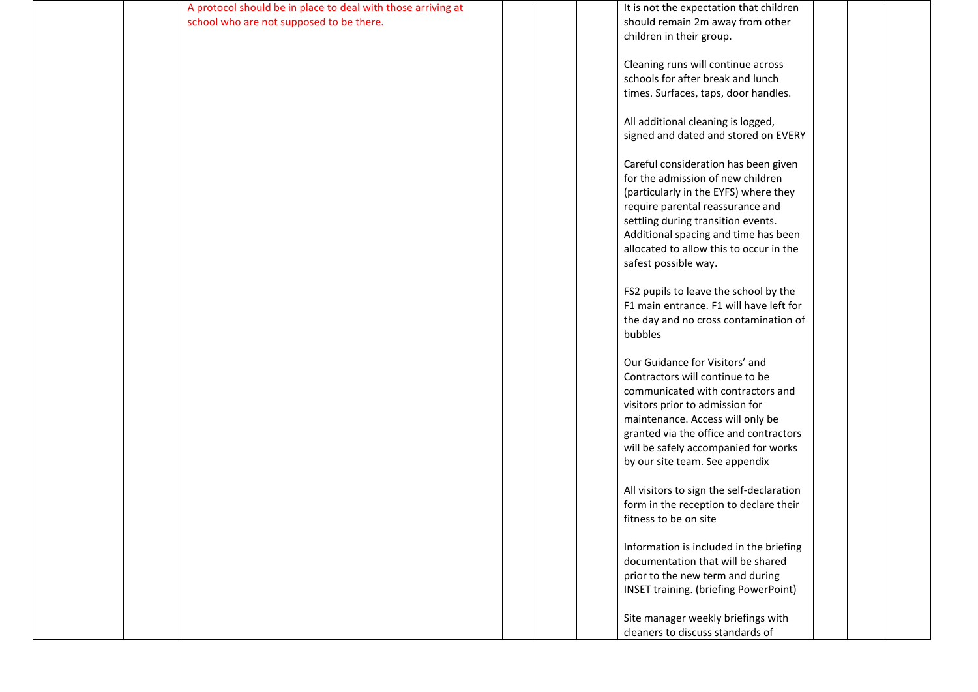| A protocol should be in place to deal with those arriving at | It is not the expectation that children                              |  |
|--------------------------------------------------------------|----------------------------------------------------------------------|--|
| school who are not supposed to be there.                     | should remain 2m away from other                                     |  |
|                                                              | children in their group.                                             |  |
|                                                              |                                                                      |  |
|                                                              | Cleaning runs will continue across                                   |  |
|                                                              | schools for after break and lunch                                    |  |
|                                                              | times. Surfaces, taps, door handles.                                 |  |
|                                                              |                                                                      |  |
|                                                              | All additional cleaning is logged,                                   |  |
|                                                              | signed and dated and stored on EVERY                                 |  |
|                                                              |                                                                      |  |
|                                                              | Careful consideration has been given                                 |  |
|                                                              | for the admission of new children                                    |  |
|                                                              | (particularly in the EYFS) where they                                |  |
|                                                              | require parental reassurance and                                     |  |
|                                                              | settling during transition events.                                   |  |
|                                                              | Additional spacing and time has been                                 |  |
|                                                              | allocated to allow this to occur in the                              |  |
|                                                              | safest possible way.                                                 |  |
|                                                              |                                                                      |  |
|                                                              | FS2 pupils to leave the school by the                                |  |
|                                                              | F1 main entrance. F1 will have left for                              |  |
|                                                              | the day and no cross contamination of                                |  |
|                                                              | bubbles                                                              |  |
|                                                              | Our Guidance for Visitors' and                                       |  |
|                                                              |                                                                      |  |
|                                                              | Contractors will continue to be<br>communicated with contractors and |  |
|                                                              |                                                                      |  |
|                                                              | visitors prior to admission for                                      |  |
|                                                              | maintenance. Access will only be                                     |  |
|                                                              | granted via the office and contractors                               |  |
|                                                              | will be safely accompanied for works                                 |  |
|                                                              | by our site team. See appendix                                       |  |
|                                                              | All visitors to sign the self-declaration                            |  |
|                                                              | form in the reception to declare their                               |  |
|                                                              | fitness to be on site                                                |  |
|                                                              |                                                                      |  |
|                                                              | Information is included in the briefing                              |  |
|                                                              | documentation that will be shared                                    |  |
|                                                              | prior to the new term and during                                     |  |
|                                                              | <b>INSET training. (briefing PowerPoint)</b>                         |  |
|                                                              |                                                                      |  |
|                                                              | Site manager weekly briefings with                                   |  |
|                                                              | cleaners to discuss standards of                                     |  |
|                                                              |                                                                      |  |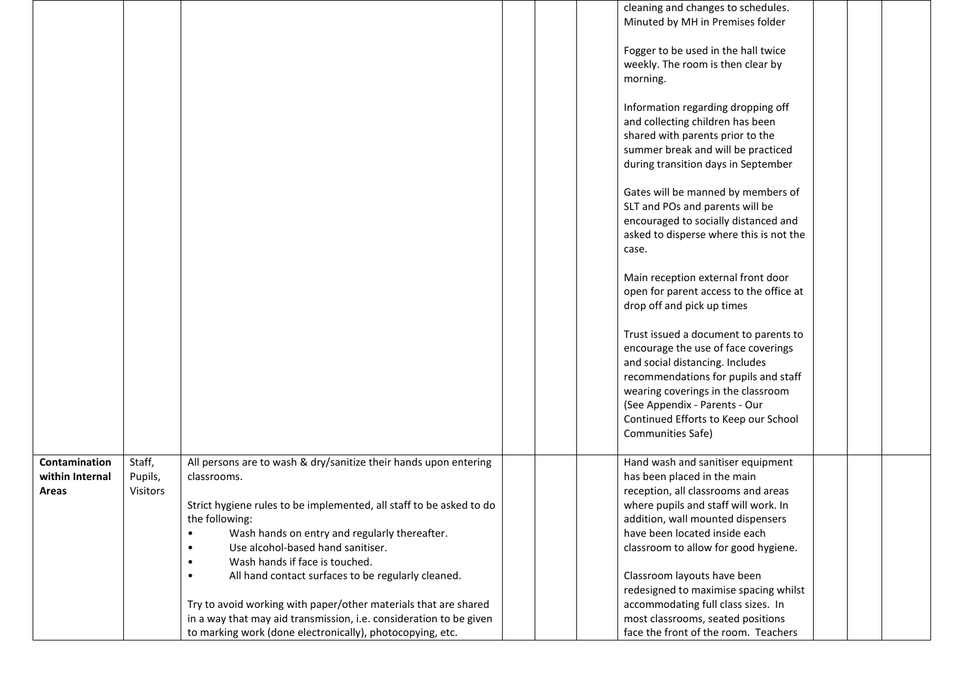|                 |          |                                                                     |  | cleaning and changes to schedules.                                           |  |  |
|-----------------|----------|---------------------------------------------------------------------|--|------------------------------------------------------------------------------|--|--|
|                 |          |                                                                     |  | Minuted by MH in Premises folder                                             |  |  |
|                 |          |                                                                     |  |                                                                              |  |  |
|                 |          |                                                                     |  | Fogger to be used in the hall twice                                          |  |  |
|                 |          |                                                                     |  | weekly. The room is then clear by                                            |  |  |
|                 |          |                                                                     |  | morning.                                                                     |  |  |
|                 |          |                                                                     |  | Information regarding dropping off                                           |  |  |
|                 |          |                                                                     |  | and collecting children has been                                             |  |  |
|                 |          |                                                                     |  | shared with parents prior to the                                             |  |  |
|                 |          |                                                                     |  | summer break and will be practiced                                           |  |  |
|                 |          |                                                                     |  | during transition days in September                                          |  |  |
|                 |          |                                                                     |  |                                                                              |  |  |
|                 |          |                                                                     |  | Gates will be manned by members of                                           |  |  |
|                 |          |                                                                     |  | SLT and POs and parents will be                                              |  |  |
|                 |          |                                                                     |  | encouraged to socially distanced and                                         |  |  |
|                 |          |                                                                     |  | asked to disperse where this is not the                                      |  |  |
|                 |          |                                                                     |  | case.                                                                        |  |  |
|                 |          |                                                                     |  |                                                                              |  |  |
|                 |          |                                                                     |  | Main reception external front door                                           |  |  |
|                 |          |                                                                     |  | open for parent access to the office at                                      |  |  |
|                 |          |                                                                     |  | drop off and pick up times                                                   |  |  |
|                 |          |                                                                     |  |                                                                              |  |  |
|                 |          |                                                                     |  | Trust issued a document to parents to<br>encourage the use of face coverings |  |  |
|                 |          |                                                                     |  | and social distancing. Includes                                              |  |  |
|                 |          |                                                                     |  | recommendations for pupils and staff                                         |  |  |
|                 |          |                                                                     |  | wearing coverings in the classroom                                           |  |  |
|                 |          |                                                                     |  | (See Appendix - Parents - Our                                                |  |  |
|                 |          |                                                                     |  | Continued Efforts to Keep our School                                         |  |  |
|                 |          |                                                                     |  | Communities Safe)                                                            |  |  |
|                 |          |                                                                     |  |                                                                              |  |  |
| Contamination   | Staff,   | All persons are to wash & dry/sanitize their hands upon entering    |  | Hand wash and sanitiser equipment                                            |  |  |
| within Internal | Pupils,  | classrooms.                                                         |  | has been placed in the main                                                  |  |  |
| <b>Areas</b>    | Visitors |                                                                     |  | reception, all classrooms and areas                                          |  |  |
|                 |          | Strict hygiene rules to be implemented, all staff to be asked to do |  | where pupils and staff will work. In                                         |  |  |
|                 |          | the following:                                                      |  | addition, wall mounted dispensers                                            |  |  |
|                 |          | Wash hands on entry and regularly thereafter.<br>$\bullet$          |  | have been located inside each                                                |  |  |
|                 |          | Use alcohol-based hand sanitiser.<br>$\bullet$                      |  | classroom to allow for good hygiene.                                         |  |  |
|                 |          | Wash hands if face is touched.<br>$\bullet$                         |  |                                                                              |  |  |
|                 |          | All hand contact surfaces to be regularly cleaned.<br>$\bullet$     |  | Classroom layouts have been                                                  |  |  |
|                 |          |                                                                     |  | redesigned to maximise spacing whilst                                        |  |  |
|                 |          | Try to avoid working with paper/other materials that are shared     |  | accommodating full class sizes. In                                           |  |  |
|                 |          | in a way that may aid transmission, i.e. consideration to be given  |  | most classrooms, seated positions                                            |  |  |
|                 |          | to marking work (done electronically), photocopying, etc.           |  | face the front of the room. Teachers                                         |  |  |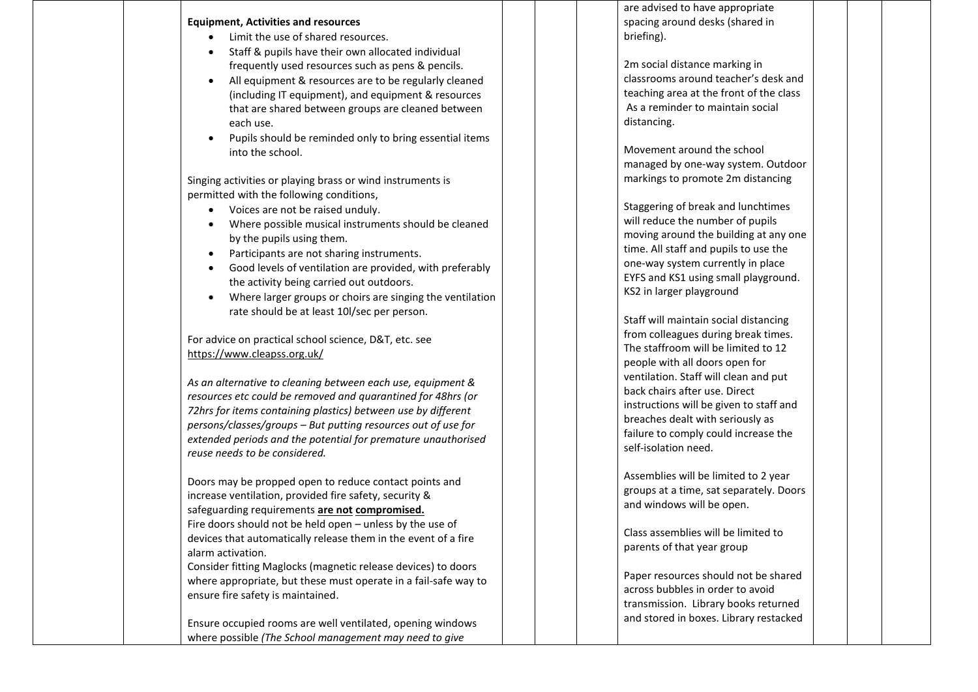#### **Equipment, Activities and resources**

- Limit the use of shared resources.
- Staff & pupils have their own allocated individual frequently used resources such as pens & pencils.
- All equipment & resources are to be regularly cleaned (including IT equipment), and equipment & resources that are shared between groups are cleaned between each use .
- Pupils should be reminded only to bring essential items into the school.

Singing activities or playing brass or wind instruments is permitted with the following conditions ,

- Voices are not be raised unduly .
- Where possible musical instruments should be cleaned by the pupils using them.
- Participants are not sharing instruments .
- Good levels of ventilation are provided, with preferably the activity being carried out outdoors.
- Where larger groups or choirs are singing the ventilation rate should be at least 10l/sec per person.

For advice on practical school science, D&T, etc. see <https://www.cleapss.org.uk/>

*As an alternative to cleaning between each use, equipment & resources etc could be removed and quarantined for 48hrs (or 72hrs for items containing plastics) between use by different persons/classes/groups – But putting resources out of use for extended periods and the potential for premature unauthorised reuse needs to be considered.* 

Doors may be propped open to reduce contact points and increase ventilation, provided fire safety, security & safeguarding requirements **are not compromised.** Fire doors should not be held open – unless by the use of devices that automatically release them in the event of a fire alarm activation.

Consider fitting Maglocks (magnetic release devices) to doors where appropriate, but these must operate in a fail -safe way to ensure fire safety is maintained .

Ensure occupied rooms are well ventilated, opening windows where possible *(The School management may need to give*

are advised to have appropriate spacing around desks (shared in briefing).

2m social distance marking in classrooms around teacher's desk and teaching area at the front of the class As a reminder to maintain social distancing.

Movement around the school managed by one -way system. Outdoor markings to promote 2m distancing

Staggering of break and lunchtimes will reduce the number of pupils moving around the building at any one time. All staff and pupils to use the one -way system currently in place EYFS and KS1 using small playground. KS2 in larger playground

Staff will maintain social distancing from colleagues during break times. The staffroom will be limited to 12 people with all doors open for ventilation. Staff will clean and put back chairs after use. Direct instructions will be given to staff and breaches dealt with seriously as failure to comply could increase the self -isolation need.

Assemblies will be limited to 2 year groups at a time, sat separately. Doors and windows will be open.

Class assemblies will be limited to parents of that year group

Paper resources should not be shared across bubbles in order to avoid transmission. Library books returned and stored in boxes. Library restacked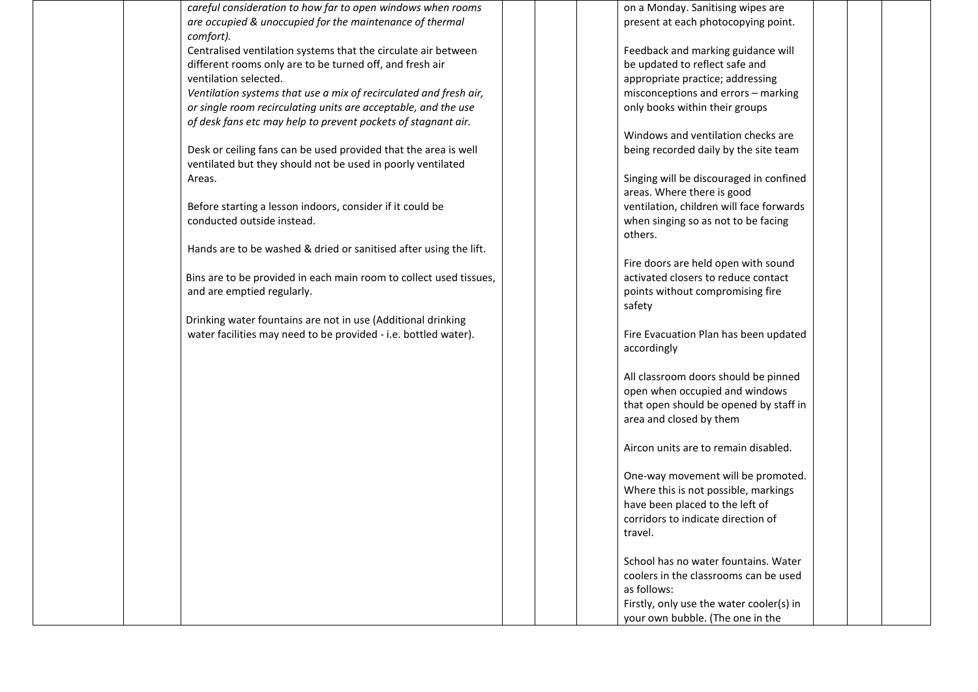*careful consideration to how far to open windows when rooms are occupied & unoccupied for the maintenance of thermal comfort).*

Centralised ventilation systems that the circulate air between different rooms only are to be turned off, and fresh air ventilation selected.

*Ventilation systems that use a mix of recirculated and fresh air, or single room recirculating units are acceptable, and the use of desk fans etc may help to prevent pockets of stagnant air.*

Desk or ceiling fans can be used provided that the area is well ventilated but they should not be used in poorly ventilated Areas.

Before starting a lesson indoors, consider if it could be conducted outside instead.

Hands are to be washed & dried or sanitised after using the lift.

Bins are to be provided in each main room to collect used tissues, and are emptied regularly.

Drinking water fountains are not in use (Additional drinking water facilities may need to be provided - i.e. bottled water). on a Monday. Sanitising wipes are present at each photocopying point.

Feedback and marking guidance will be updated to reflect safe and appropriate practice; addressing misconceptions and errors – marking only books within their groups

Windows and ventilation checks are being recorded daily by the site team

Singing will be discouraged in confined areas. Where there is good ventilation, children will face forwards when singing so as not to be facing others.

Fire doors are held open with sound activated closers to reduce contact points without compromising fire safety

Fire Evacuation Plan has been updated accordingly

All classroom doors should be pinned open when occupied and windows that open should be opened by staff in area and closed by them

Aircon units are to remain disabled.

One-way movement will be promoted. Where this is not possible, markings have been placed to the left of corridors to indicate direction of travel.

School has no water fountains. Water coolers in the classrooms can be used as follows: Firstly, only use the water cooler(s) in your own bubble. (The one in the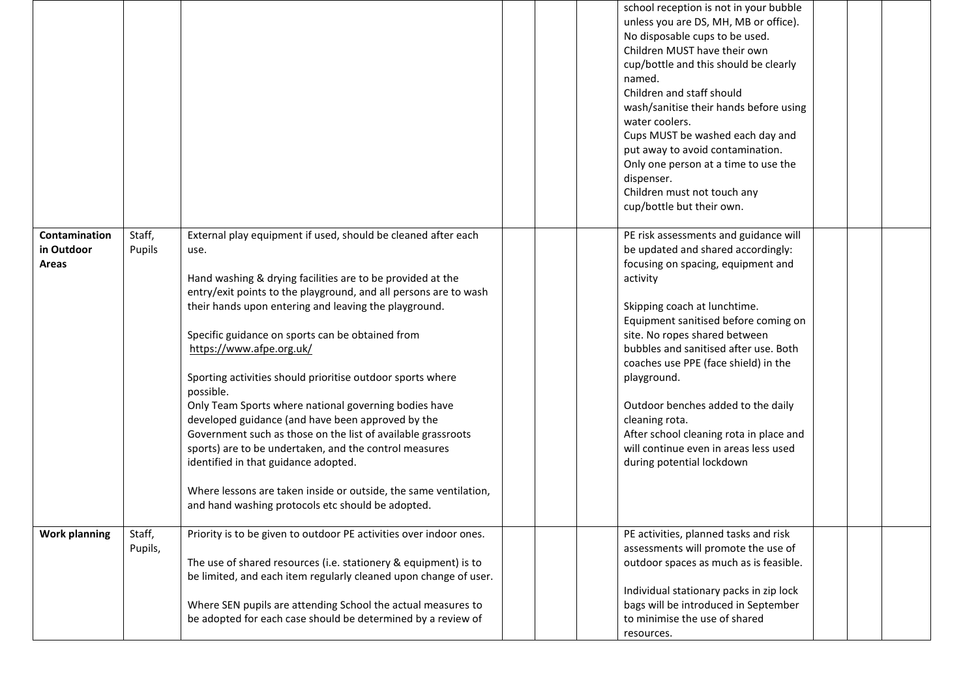|                                             |                   |                                                                                                                                                                                                                                                                                                                                                                                                                                                                                                                                                                                                                                                                                                                                                                                                                                      | school reception is not in your bubble<br>unless you are DS, MH, MB or office).<br>No disposable cups to be used.<br>Children MUST have their own<br>cup/bottle and this should be clearly<br>named.<br>Children and staff should<br>wash/sanitise their hands before using<br>water coolers.<br>Cups MUST be washed each day and<br>put away to avoid contamination.<br>Only one person at a time to use the<br>dispenser.<br>Children must not touch any<br>cup/bottle but their own.                         |  |
|---------------------------------------------|-------------------|--------------------------------------------------------------------------------------------------------------------------------------------------------------------------------------------------------------------------------------------------------------------------------------------------------------------------------------------------------------------------------------------------------------------------------------------------------------------------------------------------------------------------------------------------------------------------------------------------------------------------------------------------------------------------------------------------------------------------------------------------------------------------------------------------------------------------------------|-----------------------------------------------------------------------------------------------------------------------------------------------------------------------------------------------------------------------------------------------------------------------------------------------------------------------------------------------------------------------------------------------------------------------------------------------------------------------------------------------------------------|--|
| Contamination<br>in Outdoor<br><b>Areas</b> | Staff,<br>Pupils  | External play equipment if used, should be cleaned after each<br>use.<br>Hand washing & drying facilities are to be provided at the<br>entry/exit points to the playground, and all persons are to wash<br>their hands upon entering and leaving the playground.<br>Specific guidance on sports can be obtained from<br>https://www.afpe.org.uk/<br>Sporting activities should prioritise outdoor sports where<br>possible.<br>Only Team Sports where national governing bodies have<br>developed guidance (and have been approved by the<br>Government such as those on the list of available grassroots<br>sports) are to be undertaken, and the control measures<br>identified in that guidance adopted.<br>Where lessons are taken inside or outside, the same ventilation,<br>and hand washing protocols etc should be adopted. | PE risk assessments and guidance will<br>be updated and shared accordingly:<br>focusing on spacing, equipment and<br>activity<br>Skipping coach at lunchtime.<br>Equipment sanitised before coming on<br>site. No ropes shared between<br>bubbles and sanitised after use. Both<br>coaches use PPE (face shield) in the<br>playground.<br>Outdoor benches added to the daily<br>cleaning rota.<br>After school cleaning rota in place and<br>will continue even in areas less used<br>during potential lockdown |  |
| <b>Work planning</b>                        | Staff,<br>Pupils, | Priority is to be given to outdoor PE activities over indoor ones.<br>The use of shared resources (i.e. stationery & equipment) is to<br>be limited, and each item regularly cleaned upon change of user.<br>Where SEN pupils are attending School the actual measures to<br>be adopted for each case should be determined by a review of                                                                                                                                                                                                                                                                                                                                                                                                                                                                                            | PE activities, planned tasks and risk<br>assessments will promote the use of<br>outdoor spaces as much as is feasible.<br>Individual stationary packs in zip lock<br>bags will be introduced in September<br>to minimise the use of shared<br>resources.                                                                                                                                                                                                                                                        |  |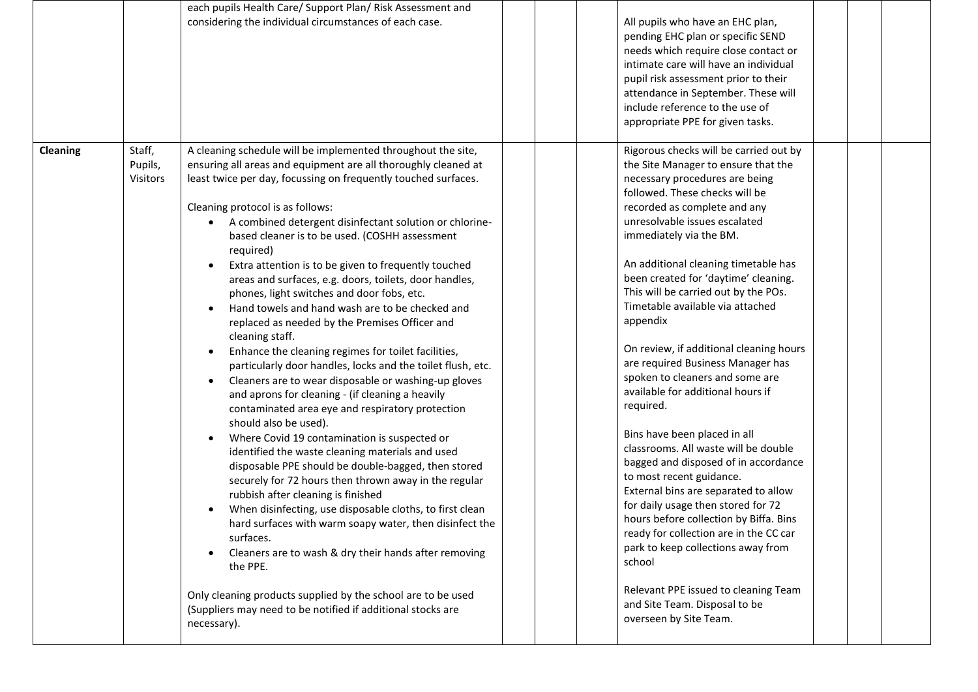|          |                               | each pupils Health Care/ Support Plan/ Risk Assessment and                                                                                                                                                                                                                                                                                                                                                                                                                                                                                                                                                                                                                                                                                                                                                                                                                                                                                                                                                                                                                                                                                                                                                                                                                                                                                                          |                                                                                                                                                                                                                                                                                                                                                                                                                                                                                                                                                                                                                                                                                                                                                                                                                                                                                                          |
|----------|-------------------------------|---------------------------------------------------------------------------------------------------------------------------------------------------------------------------------------------------------------------------------------------------------------------------------------------------------------------------------------------------------------------------------------------------------------------------------------------------------------------------------------------------------------------------------------------------------------------------------------------------------------------------------------------------------------------------------------------------------------------------------------------------------------------------------------------------------------------------------------------------------------------------------------------------------------------------------------------------------------------------------------------------------------------------------------------------------------------------------------------------------------------------------------------------------------------------------------------------------------------------------------------------------------------------------------------------------------------------------------------------------------------|----------------------------------------------------------------------------------------------------------------------------------------------------------------------------------------------------------------------------------------------------------------------------------------------------------------------------------------------------------------------------------------------------------------------------------------------------------------------------------------------------------------------------------------------------------------------------------------------------------------------------------------------------------------------------------------------------------------------------------------------------------------------------------------------------------------------------------------------------------------------------------------------------------|
|          |                               | considering the individual circumstances of each case.                                                                                                                                                                                                                                                                                                                                                                                                                                                                                                                                                                                                                                                                                                                                                                                                                                                                                                                                                                                                                                                                                                                                                                                                                                                                                                              | All pupils who have an EHC plan,<br>pending EHC plan or specific SEND<br>needs which require close contact or<br>intimate care will have an individual<br>pupil risk assessment prior to their<br>attendance in September. These will<br>include reference to the use of<br>appropriate PPE for given tasks.                                                                                                                                                                                                                                                                                                                                                                                                                                                                                                                                                                                             |
| Cleaning | Staff,<br>Pupils,<br>Visitors | A cleaning schedule will be implemented throughout the site,<br>ensuring all areas and equipment are all thoroughly cleaned at<br>least twice per day, focussing on frequently touched surfaces.<br>Cleaning protocol is as follows:<br>A combined detergent disinfectant solution or chlorine-<br>based cleaner is to be used. (COSHH assessment<br>required)<br>Extra attention is to be given to frequently touched<br>areas and surfaces, e.g. doors, toilets, door handles,<br>phones, light switches and door fobs, etc.<br>Hand towels and hand wash are to be checked and<br>replaced as needed by the Premises Officer and<br>cleaning staff.<br>Enhance the cleaning regimes for toilet facilities,<br>particularly door handles, locks and the toilet flush, etc.<br>Cleaners are to wear disposable or washing-up gloves<br>and aprons for cleaning - (if cleaning a heavily<br>contaminated area eye and respiratory protection<br>should also be used).<br>Where Covid 19 contamination is suspected or<br>identified the waste cleaning materials and used<br>disposable PPE should be double-bagged, then stored<br>securely for 72 hours then thrown away in the regular<br>rubbish after cleaning is finished<br>When disinfecting, use disposable cloths, to first clean<br>hard surfaces with warm soapy water, then disinfect the<br>surfaces. | Rigorous checks will be carried out by<br>the Site Manager to ensure that the<br>necessary procedures are being<br>followed. These checks will be<br>recorded as complete and any<br>unresolvable issues escalated<br>immediately via the BM.<br>An additional cleaning timetable has<br>been created for 'daytime' cleaning.<br>This will be carried out by the POs.<br>Timetable available via attached<br>appendix<br>On review, if additional cleaning hours<br>are required Business Manager has<br>spoken to cleaners and some are<br>available for additional hours if<br>required.<br>Bins have been placed in all<br>classrooms. All waste will be double<br>bagged and disposed of in accordance<br>to most recent guidance.<br>External bins are separated to allow<br>for daily usage then stored for 72<br>hours before collection by Biffa. Bins<br>ready for collection are in the CC car |
|          |                               | Cleaners are to wash & dry their hands after removing<br>the PPE.<br>Only cleaning products supplied by the school are to be used<br>(Suppliers may need to be notified if additional stocks are<br>necessary).                                                                                                                                                                                                                                                                                                                                                                                                                                                                                                                                                                                                                                                                                                                                                                                                                                                                                                                                                                                                                                                                                                                                                     | park to keep collections away from<br>school<br>Relevant PPE issued to cleaning Team<br>and Site Team. Disposal to be<br>overseen by Site Team.                                                                                                                                                                                                                                                                                                                                                                                                                                                                                                                                                                                                                                                                                                                                                          |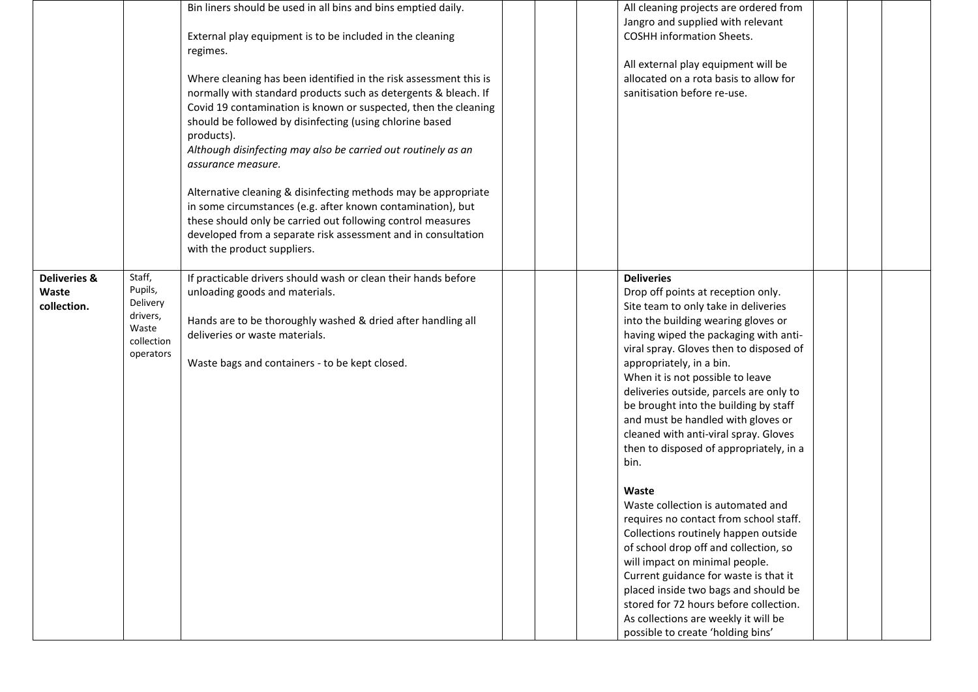|                         |                      | Bin liners should be used in all bins and bins emptied daily.<br>External play equipment is to be included in the cleaning<br>regimes. | All cleaning projects are ordered from<br>Jangro and supplied with relevant<br><b>COSHH</b> information Sheets.<br>All external play equipment will be |
|-------------------------|----------------------|----------------------------------------------------------------------------------------------------------------------------------------|--------------------------------------------------------------------------------------------------------------------------------------------------------|
|                         |                      | Where cleaning has been identified in the risk assessment this is                                                                      | allocated on a rota basis to allow for<br>sanitisation before re-use.                                                                                  |
|                         |                      | normally with standard products such as detergents & bleach. If<br>Covid 19 contamination is known or suspected, then the cleaning     |                                                                                                                                                        |
|                         |                      | should be followed by disinfecting (using chlorine based                                                                               |                                                                                                                                                        |
|                         |                      | products).<br>Although disinfecting may also be carried out routinely as an                                                            |                                                                                                                                                        |
|                         |                      | assurance measure.                                                                                                                     |                                                                                                                                                        |
|                         |                      | Alternative cleaning & disinfecting methods may be appropriate                                                                         |                                                                                                                                                        |
|                         |                      | in some circumstances (e.g. after known contamination), but<br>these should only be carried out following control measures             |                                                                                                                                                        |
|                         |                      | developed from a separate risk assessment and in consultation                                                                          |                                                                                                                                                        |
|                         |                      | with the product suppliers.                                                                                                            |                                                                                                                                                        |
| <b>Deliveries &amp;</b> | Staff,               | If practicable drivers should wash or clean their hands before                                                                         | <b>Deliveries</b>                                                                                                                                      |
| Waste                   | Pupils,              | unloading goods and materials.                                                                                                         | Drop off points at reception only.                                                                                                                     |
| collection.             | Delivery<br>drivers, |                                                                                                                                        | Site team to only take in deliveries                                                                                                                   |
|                         | Waste                | Hands are to be thoroughly washed & dried after handling all                                                                           | into the building wearing gloves or                                                                                                                    |
|                         | collection           | deliveries or waste materials.                                                                                                         | having wiped the packaging with anti-<br>viral spray. Gloves then to disposed of                                                                       |
|                         | operators            | Waste bags and containers - to be kept closed.                                                                                         | appropriately, in a bin.                                                                                                                               |
|                         |                      |                                                                                                                                        | When it is not possible to leave                                                                                                                       |
|                         |                      |                                                                                                                                        | deliveries outside, parcels are only to                                                                                                                |
|                         |                      |                                                                                                                                        | be brought into the building by staff                                                                                                                  |
|                         |                      |                                                                                                                                        | and must be handled with gloves or                                                                                                                     |
|                         |                      |                                                                                                                                        | cleaned with anti-viral spray. Gloves                                                                                                                  |
|                         |                      |                                                                                                                                        | then to disposed of appropriately, in a                                                                                                                |
|                         |                      |                                                                                                                                        | bin.                                                                                                                                                   |
|                         |                      |                                                                                                                                        | Waste                                                                                                                                                  |
|                         |                      |                                                                                                                                        | Waste collection is automated and                                                                                                                      |
|                         |                      |                                                                                                                                        | requires no contact from school staff.                                                                                                                 |
|                         |                      |                                                                                                                                        | Collections routinely happen outside                                                                                                                   |
|                         |                      |                                                                                                                                        | of school drop off and collection, so<br>will impact on minimal people.                                                                                |
|                         |                      |                                                                                                                                        | Current guidance for waste is that it                                                                                                                  |
|                         |                      |                                                                                                                                        | placed inside two bags and should be                                                                                                                   |
|                         |                      |                                                                                                                                        | stored for 72 hours before collection.                                                                                                                 |
|                         |                      |                                                                                                                                        | As collections are weekly it will be                                                                                                                   |
|                         |                      |                                                                                                                                        | possible to create 'holding bins'                                                                                                                      |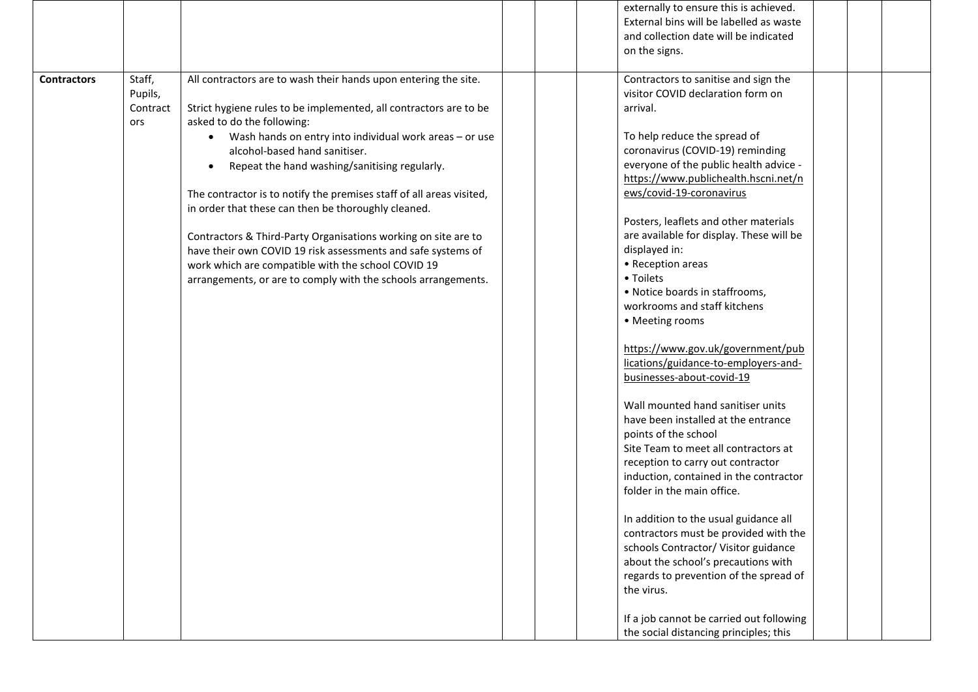|                    |                                      |                                                                                                                                                                                                                                                                                                                                                                                                                                                                                                                                                                                                                                                                                                                        | externally to ensure this is achieved.<br>External bins will be labelled as waste<br>and collection date will be indicated<br>on the signs.                                                                                                                                                                                                                                                                                                                                                                                                                                                                                                                                                                                                                                                                                                                                                                                                               |
|--------------------|--------------------------------------|------------------------------------------------------------------------------------------------------------------------------------------------------------------------------------------------------------------------------------------------------------------------------------------------------------------------------------------------------------------------------------------------------------------------------------------------------------------------------------------------------------------------------------------------------------------------------------------------------------------------------------------------------------------------------------------------------------------------|-----------------------------------------------------------------------------------------------------------------------------------------------------------------------------------------------------------------------------------------------------------------------------------------------------------------------------------------------------------------------------------------------------------------------------------------------------------------------------------------------------------------------------------------------------------------------------------------------------------------------------------------------------------------------------------------------------------------------------------------------------------------------------------------------------------------------------------------------------------------------------------------------------------------------------------------------------------|
| <b>Contractors</b> | Staff,<br>Pupils,<br>Contract<br>ors | All contractors are to wash their hands upon entering the site.<br>Strict hygiene rules to be implemented, all contractors are to be<br>asked to do the following:<br>• Wash hands on entry into individual work areas - or use<br>alcohol-based hand sanitiser.<br>Repeat the hand washing/sanitising regularly.<br>$\bullet$<br>The contractor is to notify the premises staff of all areas visited,<br>in order that these can then be thoroughly cleaned.<br>Contractors & Third-Party Organisations working on site are to<br>have their own COVID 19 risk assessments and safe systems of<br>work which are compatible with the school COVID 19<br>arrangements, or are to comply with the schools arrangements. | Contractors to sanitise and sign the<br>visitor COVID declaration form on<br>arrival.<br>To help reduce the spread of<br>coronavirus (COVID-19) reminding<br>everyone of the public health advice -<br>https://www.publichealth.hscni.net/n<br>ews/covid-19-coronavirus<br>Posters, leaflets and other materials<br>are available for display. These will be<br>displayed in:<br>• Reception areas<br>• Toilets<br>• Notice boards in staffrooms,<br>workrooms and staff kitchens<br>• Meeting rooms<br>https://www.gov.uk/government/pub<br>lications/guidance-to-employers-and-<br>businesses-about-covid-19<br>Wall mounted hand sanitiser units<br>have been installed at the entrance<br>points of the school<br>Site Team to meet all contractors at<br>reception to carry out contractor<br>induction, contained in the contractor<br>folder in the main office.<br>In addition to the usual guidance all<br>contractors must be provided with the |
|                    |                                      |                                                                                                                                                                                                                                                                                                                                                                                                                                                                                                                                                                                                                                                                                                                        | schools Contractor/ Visitor guidance<br>about the school's precautions with<br>regards to prevention of the spread of<br>the virus.<br>If a job cannot be carried out following<br>the social distancing principles; this                                                                                                                                                                                                                                                                                                                                                                                                                                                                                                                                                                                                                                                                                                                                 |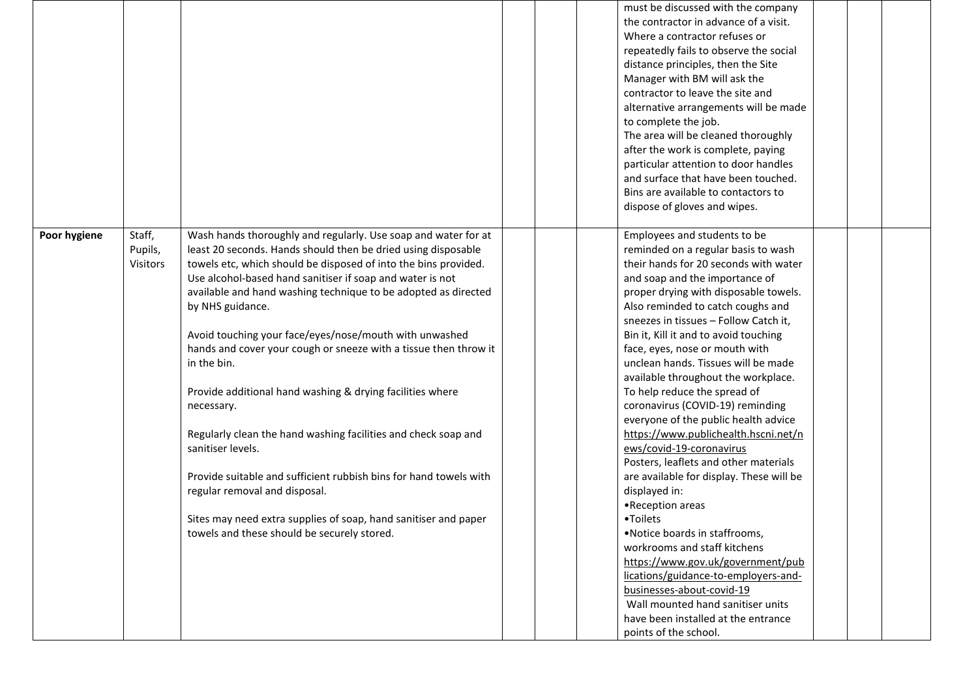|              |                               |                                                                                                                                                                                                                                                                                                                                                                                                                                                                                                                                                                                                                                                                                                                                                                                                                                                                                              | must be discussed with the company<br>the contractor in advance of a visit.<br>Where a contractor refuses or<br>repeatedly fails to observe the social<br>distance principles, then the Site<br>Manager with BM will ask the<br>contractor to leave the site and<br>alternative arrangements will be made<br>to complete the job.<br>The area will be cleaned thoroughly<br>after the work is complete, paying<br>particular attention to door handles<br>and surface that have been touched.<br>Bins are available to contactors to<br>dispose of gloves and wipes.                                                                                                                                                                                                                                                                                                                                                                                                                                                                 |  |
|--------------|-------------------------------|----------------------------------------------------------------------------------------------------------------------------------------------------------------------------------------------------------------------------------------------------------------------------------------------------------------------------------------------------------------------------------------------------------------------------------------------------------------------------------------------------------------------------------------------------------------------------------------------------------------------------------------------------------------------------------------------------------------------------------------------------------------------------------------------------------------------------------------------------------------------------------------------|--------------------------------------------------------------------------------------------------------------------------------------------------------------------------------------------------------------------------------------------------------------------------------------------------------------------------------------------------------------------------------------------------------------------------------------------------------------------------------------------------------------------------------------------------------------------------------------------------------------------------------------------------------------------------------------------------------------------------------------------------------------------------------------------------------------------------------------------------------------------------------------------------------------------------------------------------------------------------------------------------------------------------------------|--|
| Poor hygiene | Staff,<br>Pupils,<br>Visitors | Wash hands thoroughly and regularly. Use soap and water for at<br>least 20 seconds. Hands should then be dried using disposable<br>towels etc, which should be disposed of into the bins provided.<br>Use alcohol-based hand sanitiser if soap and water is not<br>available and hand washing technique to be adopted as directed<br>by NHS guidance.<br>Avoid touching your face/eyes/nose/mouth with unwashed<br>hands and cover your cough or sneeze with a tissue then throw it<br>in the bin.<br>Provide additional hand washing & drying facilities where<br>necessary.<br>Regularly clean the hand washing facilities and check soap and<br>sanitiser levels.<br>Provide suitable and sufficient rubbish bins for hand towels with<br>regular removal and disposal.<br>Sites may need extra supplies of soap, hand sanitiser and paper<br>towels and these should be securely stored. | Employees and students to be<br>reminded on a regular basis to wash<br>their hands for 20 seconds with water<br>and soap and the importance of<br>proper drying with disposable towels.<br>Also reminded to catch coughs and<br>sneezes in tissues - Follow Catch it,<br>Bin it, Kill it and to avoid touching<br>face, eyes, nose or mouth with<br>unclean hands. Tissues will be made<br>available throughout the workplace.<br>To help reduce the spread of<br>coronavirus (COVID-19) reminding<br>everyone of the public health advice<br>https://www.publichealth.hscni.net/n<br>ews/covid-19-coronavirus<br>Posters, leaflets and other materials<br>are available for display. These will be<br>displayed in:<br>•Reception areas<br>•Toilets<br>.Notice boards in staffrooms,<br>workrooms and staff kitchens<br>https://www.gov.uk/government/pub<br>lications/guidance-to-employers-and-<br>businesses-about-covid-19<br>Wall mounted hand sanitiser units<br>have been installed at the entrance<br>points of the school. |  |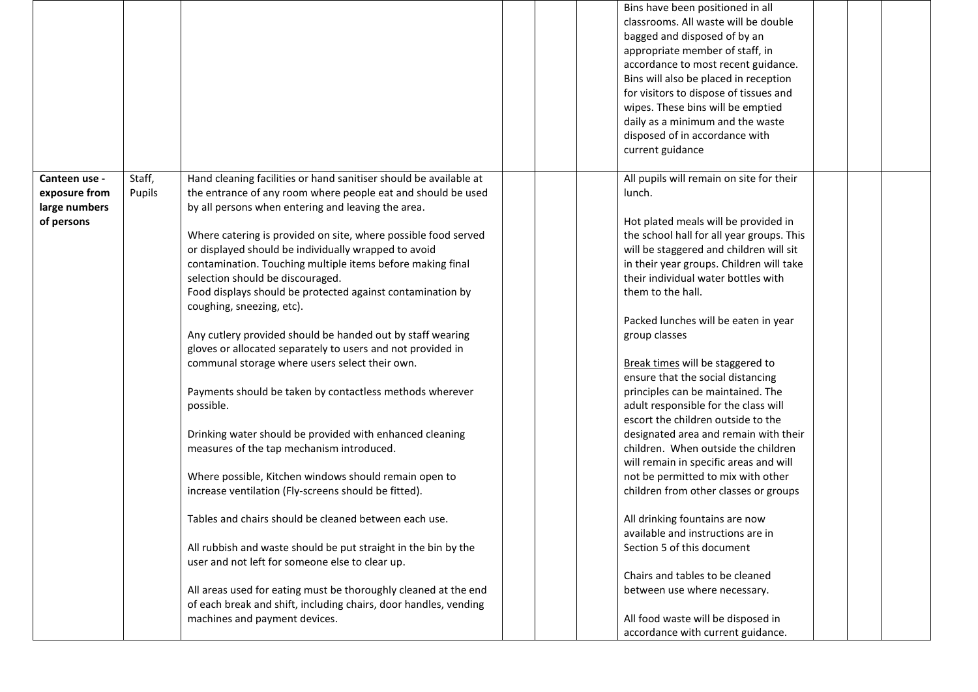|               |        |                                                                   | Bins have been positioned in all                                    |
|---------------|--------|-------------------------------------------------------------------|---------------------------------------------------------------------|
|               |        |                                                                   | classrooms. All waste will be double                                |
|               |        |                                                                   | bagged and disposed of by an                                        |
|               |        |                                                                   | appropriate member of staff, in                                     |
|               |        |                                                                   | accordance to most recent guidance.                                 |
|               |        |                                                                   | Bins will also be placed in reception                               |
|               |        |                                                                   | for visitors to dispose of tissues and                              |
|               |        |                                                                   | wipes. These bins will be emptied                                   |
|               |        |                                                                   | daily as a minimum and the waste                                    |
|               |        |                                                                   | disposed of in accordance with                                      |
|               |        |                                                                   | current guidance                                                    |
|               |        |                                                                   |                                                                     |
| Canteen use - | Staff, | Hand cleaning facilities or hand sanitiser should be available at | All pupils will remain on site for their                            |
| exposure from | Pupils | the entrance of any room where people eat and should be used      | lunch.                                                              |
| large numbers |        | by all persons when entering and leaving the area.                |                                                                     |
| of persons    |        |                                                                   | Hot plated meals will be provided in                                |
|               |        | Where catering is provided on site, where possible food served    | the school hall for all year groups. This                           |
|               |        | or displayed should be individually wrapped to avoid              | will be staggered and children will sit                             |
|               |        | contamination. Touching multiple items before making final        | in their year groups. Children will take                            |
|               |        | selection should be discouraged.                                  | their individual water bottles with                                 |
|               |        | Food displays should be protected against contamination by        | them to the hall.                                                   |
|               |        | coughing, sneezing, etc).                                         |                                                                     |
|               |        |                                                                   | Packed lunches will be eaten in year                                |
|               |        | Any cutlery provided should be handed out by staff wearing        | group classes                                                       |
|               |        | gloves or allocated separately to users and not provided in       |                                                                     |
|               |        | communal storage where users select their own.                    | Break times will be staggered to                                    |
|               |        |                                                                   | ensure that the social distancing                                   |
|               |        | Payments should be taken by contactless methods wherever          | principles can be maintained. The                                   |
|               |        | possible.                                                         | adult responsible for the class will                                |
|               |        |                                                                   | escort the children outside to the                                  |
|               |        | Drinking water should be provided with enhanced cleaning          | designated area and remain with their                               |
|               |        |                                                                   | children. When outside the children                                 |
|               |        | measures of the tap mechanism introduced.                         |                                                                     |
|               |        | Where possible, Kitchen windows should remain open to             | will remain in specific areas and will                              |
|               |        |                                                                   | not be permitted to mix with other                                  |
|               |        | increase ventilation (Fly-screens should be fitted).              | children from other classes or groups                               |
|               |        | Tables and chairs should be cleaned between each use.             |                                                                     |
|               |        |                                                                   | All drinking fountains are now<br>available and instructions are in |
|               |        |                                                                   | Section 5 of this document                                          |
|               |        | All rubbish and waste should be put straight in the bin by the    |                                                                     |
|               |        | user and not left for someone else to clear up.                   |                                                                     |
|               |        |                                                                   | Chairs and tables to be cleaned                                     |
|               |        | All areas used for eating must be thoroughly cleaned at the end   | between use where necessary.                                        |
|               |        | of each break and shift, including chairs, door handles, vending  |                                                                     |
|               |        | machines and payment devices.                                     | All food waste will be disposed in                                  |
|               |        |                                                                   | accordance with current guidance.                                   |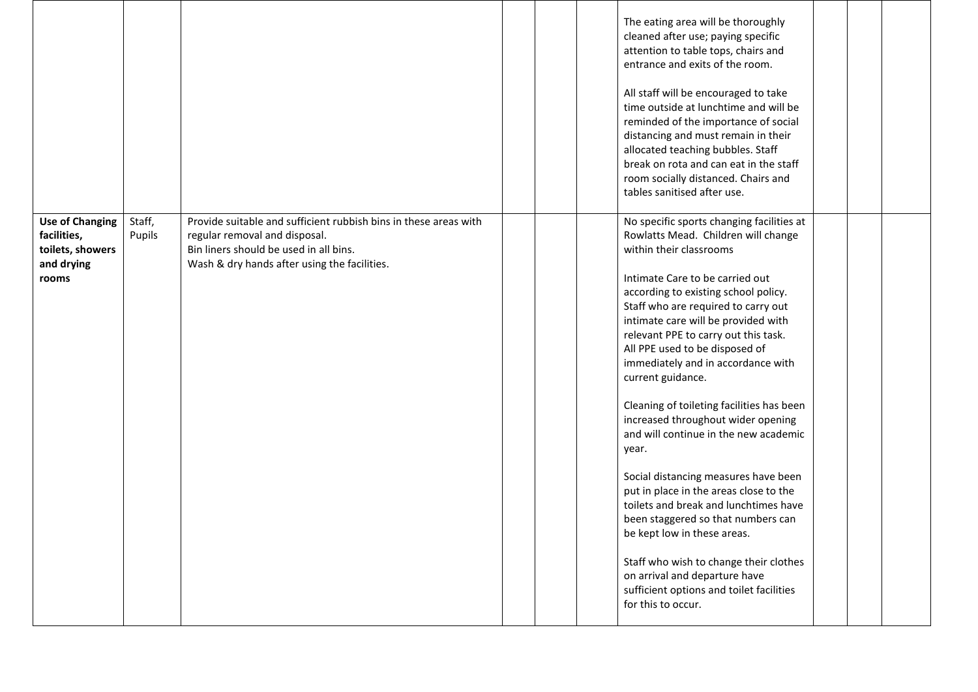|                                                                                  |                  |                                                                                                                                                                                             | The eating area will be thoroughly<br>cleaned after use; paying specific<br>attention to table tops, chairs and<br>entrance and exits of the room.<br>All staff will be encouraged to take<br>time outside at lunchtime and will be<br>reminded of the importance of social<br>distancing and must remain in their<br>allocated teaching bubbles. Staff<br>break on rota and can eat in the staff<br>room socially distanced. Chairs and<br>tables sanitised after use.                                                                                                                                                                                                                                                                                                                                                                                                                     |  |
|----------------------------------------------------------------------------------|------------------|---------------------------------------------------------------------------------------------------------------------------------------------------------------------------------------------|---------------------------------------------------------------------------------------------------------------------------------------------------------------------------------------------------------------------------------------------------------------------------------------------------------------------------------------------------------------------------------------------------------------------------------------------------------------------------------------------------------------------------------------------------------------------------------------------------------------------------------------------------------------------------------------------------------------------------------------------------------------------------------------------------------------------------------------------------------------------------------------------|--|
| <b>Use of Changing</b><br>facilities,<br>toilets, showers<br>and drying<br>rooms | Staff,<br>Pupils | Provide suitable and sufficient rubbish bins in these areas with<br>regular removal and disposal.<br>Bin liners should be used in all bins.<br>Wash & dry hands after using the facilities. | No specific sports changing facilities at<br>Rowlatts Mead. Children will change<br>within their classrooms<br>Intimate Care to be carried out<br>according to existing school policy.<br>Staff who are required to carry out<br>intimate care will be provided with<br>relevant PPE to carry out this task.<br>All PPE used to be disposed of<br>immediately and in accordance with<br>current guidance.<br>Cleaning of toileting facilities has been<br>increased throughout wider opening<br>and will continue in the new academic<br>year.<br>Social distancing measures have been<br>put in place in the areas close to the<br>toilets and break and lunchtimes have<br>been staggered so that numbers can<br>be kept low in these areas.<br>Staff who wish to change their clothes<br>on arrival and departure have<br>sufficient options and toilet facilities<br>for this to occur. |  |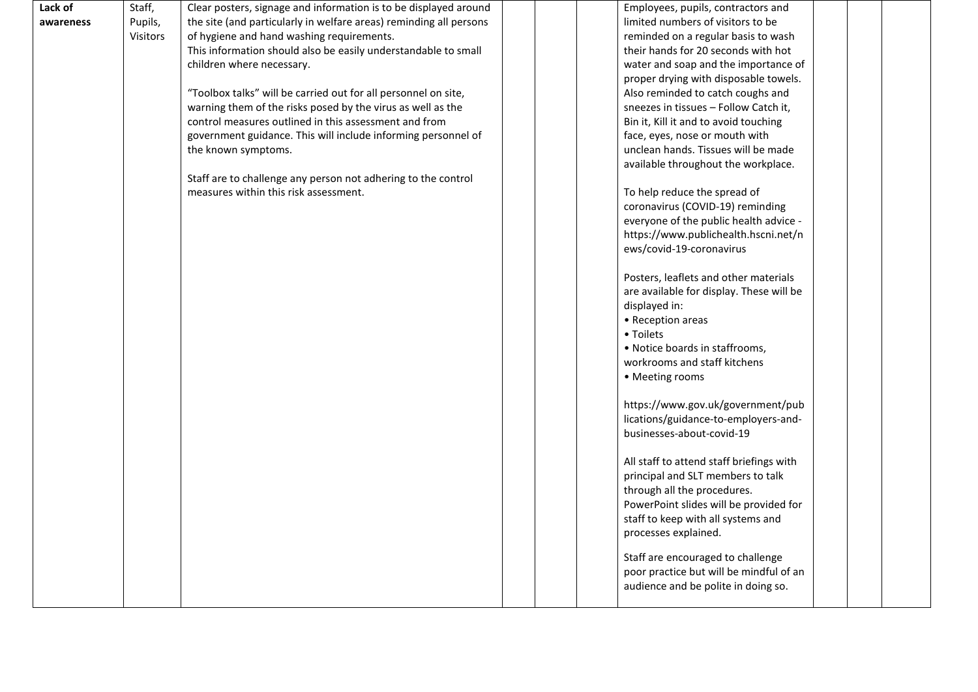| Lack of   | Staff,   | Clear posters, signage and information is to be displayed around   | Employees, pupils, contractors and       |
|-----------|----------|--------------------------------------------------------------------|------------------------------------------|
| awareness | Pupils,  | the site (and particularly in welfare areas) reminding all persons | limited numbers of visitors to be        |
|           | Visitors | of hygiene and hand washing requirements.                          | reminded on a regular basis to wash      |
|           |          | This information should also be easily understandable to small     | their hands for 20 seconds with hot      |
|           |          | children where necessary.                                          | water and soap and the importance of     |
|           |          |                                                                    | proper drying with disposable towels.    |
|           |          | "Toolbox talks" will be carried out for all personnel on site,     | Also reminded to catch coughs and        |
|           |          | warning them of the risks posed by the virus as well as the        | sneezes in tissues - Follow Catch it,    |
|           |          | control measures outlined in this assessment and from              | Bin it, Kill it and to avoid touching    |
|           |          | government guidance. This will include informing personnel of      | face, eyes, nose or mouth with           |
|           |          | the known symptoms.                                                | unclean hands. Tissues will be made      |
|           |          |                                                                    | available throughout the workplace.      |
|           |          | Staff are to challenge any person not adhering to the control      |                                          |
|           |          | measures within this risk assessment.                              | To help reduce the spread of             |
|           |          |                                                                    | coronavirus (COVID-19) reminding         |
|           |          |                                                                    | everyone of the public health advice -   |
|           |          |                                                                    | https://www.publichealth.hscni.net/n     |
|           |          |                                                                    | ews/covid-19-coronavirus                 |
|           |          |                                                                    |                                          |
|           |          |                                                                    | Posters, leaflets and other materials    |
|           |          |                                                                    | are available for display. These will be |
|           |          |                                                                    | displayed in:<br>• Reception areas       |
|           |          |                                                                    | • Toilets                                |
|           |          |                                                                    | • Notice boards in staffrooms,           |
|           |          |                                                                    | workrooms and staff kitchens             |
|           |          |                                                                    |                                          |
|           |          |                                                                    | • Meeting rooms                          |
|           |          |                                                                    | https://www.gov.uk/government/pub        |
|           |          |                                                                    | lications/guidance-to-employers-and-     |
|           |          |                                                                    | businesses-about-covid-19                |
|           |          |                                                                    |                                          |
|           |          |                                                                    | All staff to attend staff briefings with |
|           |          |                                                                    | principal and SLT members to talk        |
|           |          |                                                                    | through all the procedures.              |
|           |          |                                                                    | PowerPoint slides will be provided for   |
|           |          |                                                                    | staff to keep with all systems and       |
|           |          |                                                                    | processes explained.                     |
|           |          |                                                                    | Staff are encouraged to challenge        |
|           |          |                                                                    | poor practice but will be mindful of an  |
|           |          |                                                                    | audience and be polite in doing so.      |
|           |          |                                                                    |                                          |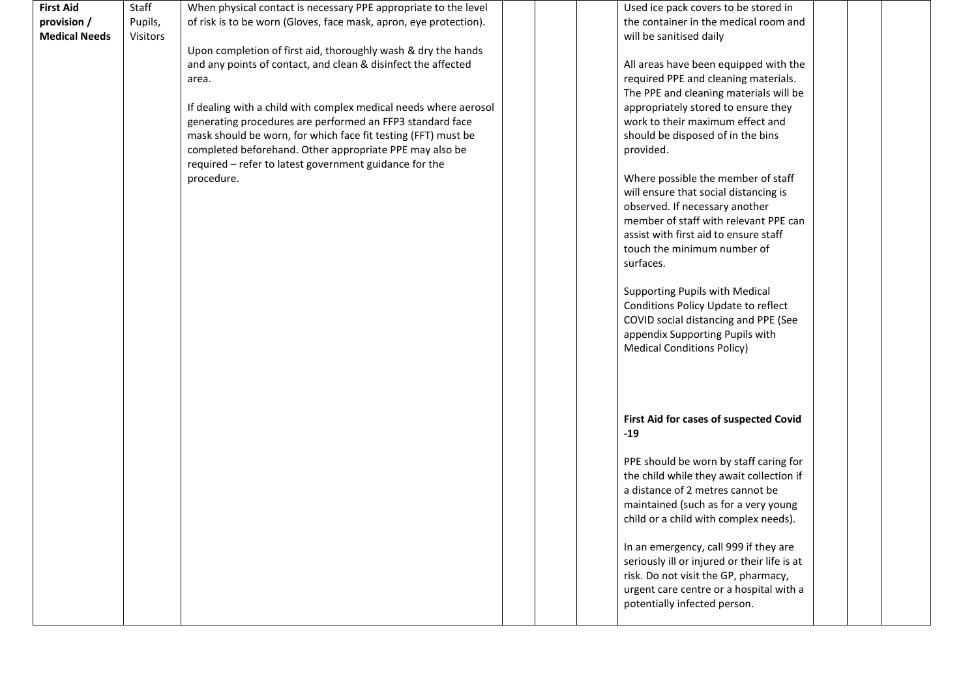| <b>First Aid</b>     | Staff    | When physical contact is necessary PPE appropriate to the level   |  | Used ice pack covers to be stored in         |  |  |
|----------------------|----------|-------------------------------------------------------------------|--|----------------------------------------------|--|--|
| provision /          | Pupils,  | of risk is to be worn (Gloves, face mask, apron, eye protection). |  | the container in the medical room and        |  |  |
| <b>Medical Needs</b> | Visitors |                                                                   |  | will be sanitised daily                      |  |  |
|                      |          | Upon completion of first aid, thoroughly wash & dry the hands     |  |                                              |  |  |
|                      |          | and any points of contact, and clean & disinfect the affected     |  | All areas have been equipped with the        |  |  |
|                      |          | area.                                                             |  | required PPE and cleaning materials.         |  |  |
|                      |          |                                                                   |  | The PPE and cleaning materials will be       |  |  |
|                      |          | If dealing with a child with complex medical needs where aerosol  |  | appropriately stored to ensure they          |  |  |
|                      |          | generating procedures are performed an FFP3 standard face         |  | work to their maximum effect and             |  |  |
|                      |          | mask should be worn, for which face fit testing (FFT) must be     |  | should be disposed of in the bins            |  |  |
|                      |          | completed beforehand. Other appropriate PPE may also be           |  | provided.                                    |  |  |
|                      |          | required - refer to latest government guidance for the            |  |                                              |  |  |
|                      |          | procedure.                                                        |  | Where possible the member of staff           |  |  |
|                      |          |                                                                   |  | will ensure that social distancing is        |  |  |
|                      |          |                                                                   |  | observed. If necessary another               |  |  |
|                      |          |                                                                   |  | member of staff with relevant PPE can        |  |  |
|                      |          |                                                                   |  | assist with first aid to ensure staff        |  |  |
|                      |          |                                                                   |  | touch the minimum number of                  |  |  |
|                      |          |                                                                   |  | surfaces.                                    |  |  |
|                      |          |                                                                   |  |                                              |  |  |
|                      |          |                                                                   |  | Supporting Pupils with Medical               |  |  |
|                      |          |                                                                   |  | Conditions Policy Update to reflect          |  |  |
|                      |          |                                                                   |  | COVID social distancing and PPE (See         |  |  |
|                      |          |                                                                   |  | appendix Supporting Pupils with              |  |  |
|                      |          |                                                                   |  | <b>Medical Conditions Policy)</b>            |  |  |
|                      |          |                                                                   |  |                                              |  |  |
|                      |          |                                                                   |  |                                              |  |  |
|                      |          |                                                                   |  |                                              |  |  |
|                      |          |                                                                   |  |                                              |  |  |
|                      |          |                                                                   |  | First Aid for cases of suspected Covid       |  |  |
|                      |          |                                                                   |  | $-19$                                        |  |  |
|                      |          |                                                                   |  |                                              |  |  |
|                      |          |                                                                   |  | PPE should be worn by staff caring for       |  |  |
|                      |          |                                                                   |  | the child while they await collection if     |  |  |
|                      |          |                                                                   |  | a distance of 2 metres cannot be             |  |  |
|                      |          |                                                                   |  |                                              |  |  |
|                      |          |                                                                   |  | maintained (such as for a very young         |  |  |
|                      |          |                                                                   |  | child or a child with complex needs).        |  |  |
|                      |          |                                                                   |  |                                              |  |  |
|                      |          |                                                                   |  | In an emergency, call 999 if they are        |  |  |
|                      |          |                                                                   |  | seriously ill or injured or their life is at |  |  |
|                      |          |                                                                   |  | risk. Do not visit the GP, pharmacy,         |  |  |
|                      |          |                                                                   |  | urgent care centre or a hospital with a      |  |  |
|                      |          |                                                                   |  | potentially infected person.                 |  |  |
|                      |          |                                                                   |  |                                              |  |  |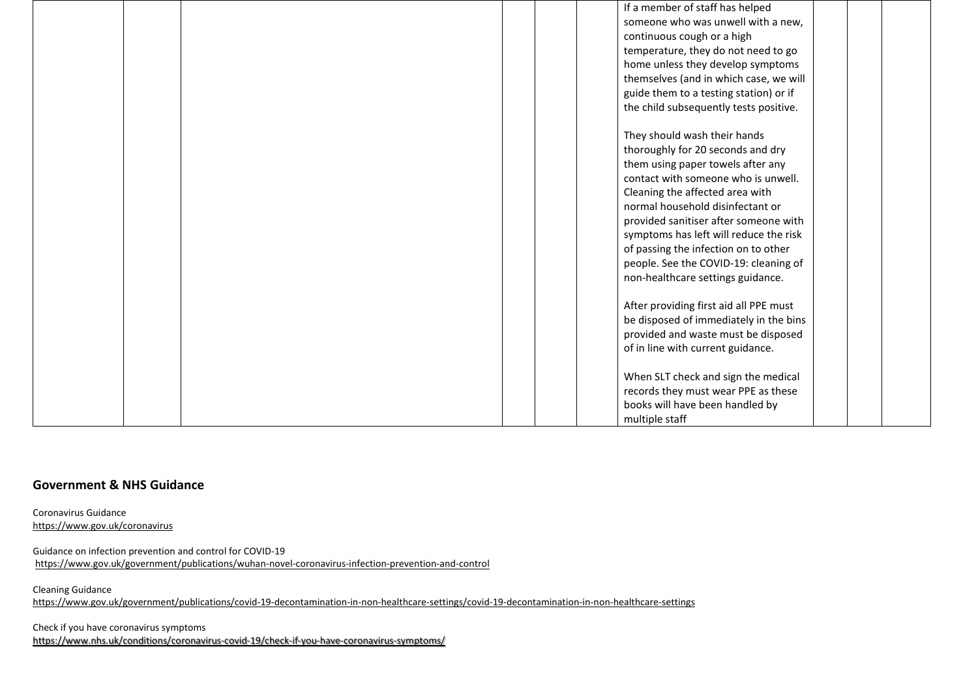|  | If a member of staff has helped        |
|--|----------------------------------------|
|  | someone who was unwell with a new,     |
|  | continuous cough or a high             |
|  | temperature, they do not need to go    |
|  | home unless they develop symptoms      |
|  | themselves (and in which case, we will |
|  | guide them to a testing station) or if |
|  | the child subsequently tests positive. |
|  |                                        |
|  | They should wash their hands           |
|  | thoroughly for 20 seconds and dry      |
|  | them using paper towels after any      |
|  | contact with someone who is unwell.    |
|  | Cleaning the affected area with        |
|  | normal household disinfectant or       |
|  | provided sanitiser after someone with  |
|  | symptoms has left will reduce the risk |
|  | of passing the infection on to other   |
|  | people. See the COVID-19: cleaning of  |
|  | non-healthcare settings guidance.      |
|  |                                        |
|  | After providing first aid all PPE must |
|  | be disposed of immediately in the bins |
|  | provided and waste must be disposed    |
|  | of in line with current guidance.      |
|  |                                        |
|  | When SLT check and sign the medical    |
|  | records they must wear PPE as these    |
|  | books will have been handled by        |
|  | multiple staff                         |

## **Government & NHS Guidance**

Coronavirus Guidance <https://www.gov.uk/coronavirus>

Guidance on infection prevention and control for COVID-19 <https://www.gov.uk/government/publications/wuhan-novel-coronavirus-infection-prevention-and-control>

Cleaning Guidance

<https://www.gov.uk/government/publications/covid-19-decontamination-in-non-healthcare-settings/covid-19-decontamination-in-non-healthcare-settings>

Check if you have coronavirus symptoms <https://www.nhs.uk/conditions/coronavirus-covid-19/check-if-you-have-coronavirus-symptoms/>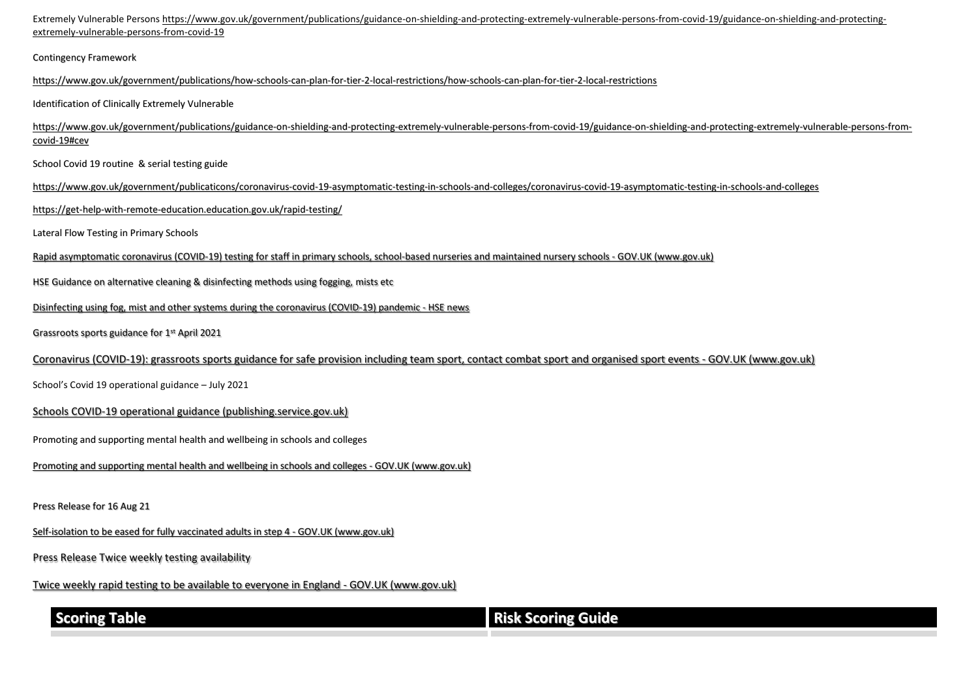Extremely Vulnerable Persons [https://www.gov.uk/government/publications/guidance-on-shielding-and-protecting-extremely-vulnerable-persons-from-covid-19/guidance-on-shielding-and-protecting](https://www.gov.uk/government/publications/guidance-on-shielding-and-protecting-extremely-vulnerable-persons-from-covid-19/guidance-on-shielding-and-protecting-extremely-vulnerable-persons-from-covid-19)[extremely-vulnerable-persons-from-covid-19](https://www.gov.uk/government/publications/guidance-on-shielding-and-protecting-extremely-vulnerable-persons-from-covid-19/guidance-on-shielding-and-protecting-extremely-vulnerable-persons-from-covid-19)

Contingency Framework

<https://www.gov.uk/government/publications/how-schools-can-plan-for-tier-2-local-restrictions/how-schools-can-plan-for-tier-2-local-restrictions>

Identification of Clinically Extremely Vulnerable

[https://www.gov.uk/government/publications/guidance-on-shielding-and-protecting-extremely-vulnerable-persons-from-covid-19/guidance-on-shielding-and-protecting-extremely-vulnerable-persons-from](https://www.gov.uk/government/publications/guidance-on-shielding-and-protecting-extremely-vulnerable-persons-from-covid-19/guidance-on-shielding-and-protecting-extremely-vulnerable-persons-from-covid-19#cev)[covid-19#cev](https://www.gov.uk/government/publications/guidance-on-shielding-and-protecting-extremely-vulnerable-persons-from-covid-19/guidance-on-shielding-and-protecting-extremely-vulnerable-persons-from-covid-19#cev)

School Covid 19 routine & serial testing guide

[https://www.gov.uk/government/publicaticons/coronavirus-covid-19-asymptomatic-testing-in-schools-and-colleges/coronavirus-covid-19-asymptomatic-testing-in-schools-and-colleges](https://www.gov.uk/government/publications/coronavirus-covid-19-asymptomatic-testing-in-schools-and-colleges/coronavirus-covid-19-asymptomatic-testing-in-schools-and-colleges)

<https://get-help-with-remote-education.education.gov.uk/rapid-testing/>

Lateral Flow Testing in Primary Schools

[Rapid asymptomatic coronavirus \(COVID-19\) testing for staff in primary schools, school-based nurseries and maintained nursery schools -](https://www.gov.uk/government/publications/coronavirus-covid-19-asymptomatic-testing-for-staff-in-primary-schools-and-nurseries/rapid-asymptomatic-coronavirus-covid-19-testing-for-staff-in-primary-schools-school-based-nurseries-and-maintained-nursery-schools) GOV.UK (www.gov.uk)

HSE Guidance on alternative cleaning & disinfecting methods using fogging, mists etc

Disinfecting using [fog, mist and other systems during the coronavirus \(COVID-19\) pandemic -](https://www.hse.gov.uk/coronavirus/disinfecting-premises-during-coronavirus-outbreak.htm?utm_source=govdelivery&utm_medium=email&utm_campaign=coronavirus&utm_term=disinfecting-headline&utm_content=covid-4-feb-21) HSE news

Grassroots sports guidance for 1st April 2021

[Coronavirus \(COVID-19\): grassroots sports guidance for safe provision including team sport, contact combat sport and organised sport events -](https://www.gov.uk/guidance/coronavirus-covid-19-grassroots-sports-guidance-for-safe-provision-including-team-sport-contact-combat-sport-and-organised-sport-events) GOV.UK (www.gov.uk)

School's Covid 19 operational guidance – July 2021

[Schools COVID-19 operational guidance \(publishing.service.gov.uk\)](https://assets.publishing.service.gov.uk/government/uploads/system/uploads/attachment_data/file/999689/Schools_guidance_Step_4_update_FINAL.pdf)

Promoting and supporting mental health and wellbeing in schools and colleges

[Promoting and supporting mental health and wellbeing in schools and colleges -](https://www.gov.uk/guidance/mental-health-and-wellbeing-support-in-schools-and-colleges#contents) GOV.UK (www.gov.uk)

Press Release for 16 Aug 21

[Self-isolation to be eased for fully vaccinated adults in step 4 -](https://www.gov.uk/government/news/self-isolation-to-be-eased-for-fully-vaccinated-adults-in-step-4) GOV.UK (www.gov.uk)

Press Release Twice weekly testing availability

Twice weekly rapid testing to be available to everyone in England - GOV.UK (www.gov.uk)

| I<br>. .<br>۱ | I |  |  |
|---------------|---|--|--|
|               |   |  |  |

## **Scoring Table Risk Scoring Guide**